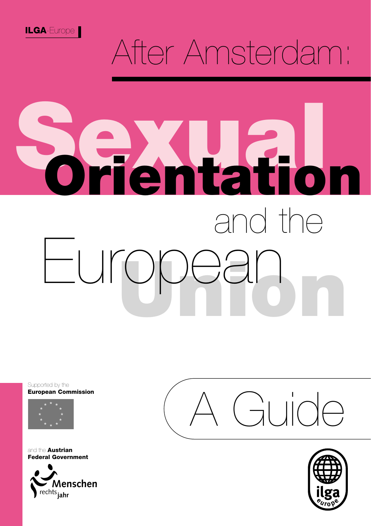

## After Amsterdam:

**Sexual**

**Orientation**

**Union** European

#### Supported by the **European Commission**



and the **Austrian Federal Government**



 $\int \frac{1}{\sqrt{2}}$ 

and the

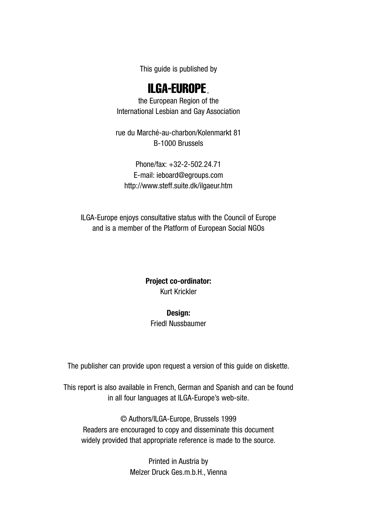This guide is published by

#### ILGA-EUROPE,

the European Region of the International Lesbian and Gay Association

rue du Marché-au-charbon/Kolenmarkt 81 B-1000 Brussels

Phone/fax: +32-2-502.24.71 E-mail: ieboard@egroups.com http://www.steff.suite.dk/ilgaeur.htm

ILGA-Europe enjoys consultative status with the Council of Europe and is a member of the Platform of European Social NGOs

#### **Project co-ordinator:** Kurt Krickler

#### **Design:**

#### Friedl Nussbaumer

The publisher can provide upon request a version of this guide on diskette.

This report is also available in French, German and Spanish and can be found in all four languages at ILGA-Europe's web-site.

© Authors/ILGA-Europe, Brussels 1999 Readers are encouraged to copy and disseminate this document widely provided that appropriate reference is made to the source.

> Printed in Austria by Melzer Druck Ges.m.b.H., Vienna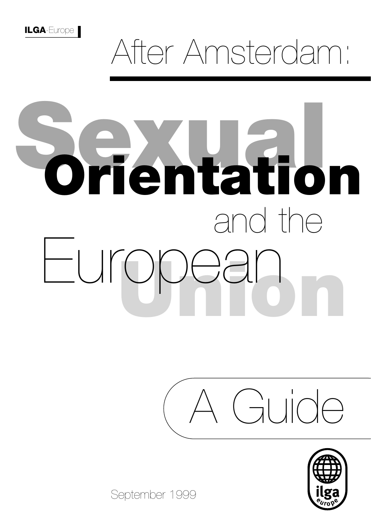## After Amsterdam:

# **Sexual** and the **Orientation Union** European





September 1999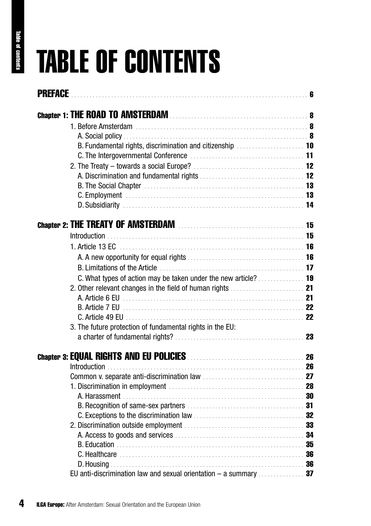## TABLE OF CONTENTS

| <b>PREFACE</b>                                                           |  |
|--------------------------------------------------------------------------|--|
|                                                                          |  |
|                                                                          |  |
|                                                                          |  |
| B. Fundamental rights, discrimination and citizenship  10                |  |
|                                                                          |  |
|                                                                          |  |
|                                                                          |  |
|                                                                          |  |
|                                                                          |  |
|                                                                          |  |
|                                                                          |  |
|                                                                          |  |
|                                                                          |  |
|                                                                          |  |
|                                                                          |  |
| C. What types of action may be taken under the new article?  19          |  |
|                                                                          |  |
|                                                                          |  |
|                                                                          |  |
|                                                                          |  |
| 3. The future protection of fundamental rights in the EU:                |  |
|                                                                          |  |
|                                                                          |  |
|                                                                          |  |
|                                                                          |  |
|                                                                          |  |
|                                                                          |  |
|                                                                          |  |
|                                                                          |  |
|                                                                          |  |
|                                                                          |  |
|                                                                          |  |
|                                                                          |  |
|                                                                          |  |
| EU anti-discrimination law and sexual orientation $-$ a summary $\ldots$ |  |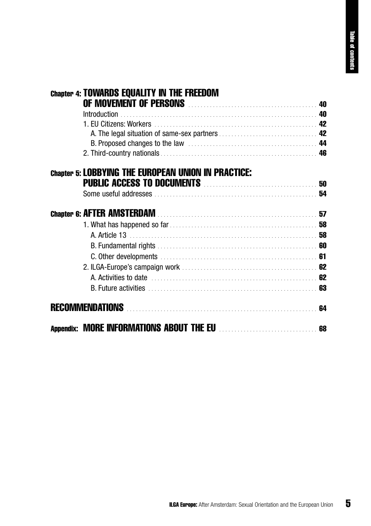| <b>Chapter 4: TOWARDS EQUALITY IN THE FREEDOM</b><br>OF MOVEMENT OF PERSONS MARKET AND THE MOVEMENT OF PERSONS |  |
|----------------------------------------------------------------------------------------------------------------|--|
| Introduction                                                                                                   |  |
|                                                                                                                |  |
|                                                                                                                |  |
|                                                                                                                |  |
|                                                                                                                |  |
| <b>Chapter 5: LOBBYING THE EUROPEAN UNION IN PRACTICE:</b>                                                     |  |
| <b>PUBLIC ACCESS TO DOCUMENTS MANUAL CONTRACT SO</b>                                                           |  |
|                                                                                                                |  |
|                                                                                                                |  |
|                                                                                                                |  |
|                                                                                                                |  |
|                                                                                                                |  |
|                                                                                                                |  |
|                                                                                                                |  |
|                                                                                                                |  |
|                                                                                                                |  |
|                                                                                                                |  |
| Appendix: MORE INFORMATIONS ABOUT THE EU <b>CONSTRUSS ASSESSED</b>                                             |  |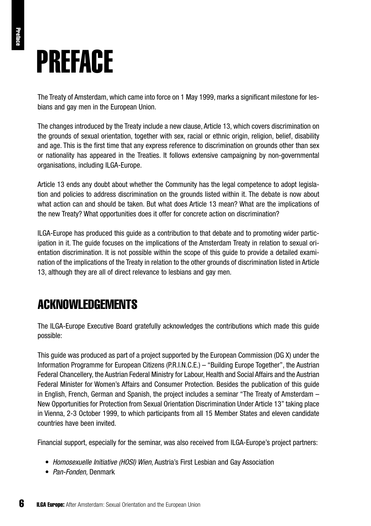## PREFACE

The Treaty of Amsterdam, which came into force on 1 May 1999, marks a significant milestone for lesbians and gay men in the European Union.

The changes introduced by the Treaty include a new clause, Article 13, which covers discrimination on the grounds of sexual orientation, together with sex, racial or ethnic origin, religion, belief, disability and age. This is the first time that any express reference to discrimination on grounds other than sex or nationality has appeared in the Treaties. It follows extensive campaigning by non-governmental organisations, including ILGA-Europe.

Article 13 ends any doubt about whether the Community has the legal competence to adopt legislation and policies to address discrimination on the grounds listed within it. The debate is now about what action can and should be taken. But what does Article 13 mean? What are the implications of the new Treaty? What opportunities does it offer for concrete action on discrimination?

ILGA-Europe has produced this guide as a contribution to that debate and to promoting wider participation in it. The guide focuses on the implications of the Amsterdam Treaty in relation to sexual orientation discrimination. It is not possible within the scope of this guide to provide a detailed examination of the implications of the Treaty in relation to the other grounds of discrimination listed in Article 13, although they are all of direct relevance to lesbians and gay men.

## ACKNOWLEDGEMENTS

The ILGA-Europe Executive Board gratefully acknowledges the contributions which made this guide possible:

This guide was produced as part of a project supported by the European Commission (DG X) under the Information Programme for European Citizens (P.R.I.N.C.E.) – "Building Europe Together", the Austrian Federal Chancellery, the Austrian Federal Ministry for Labour, Health and Social Affairs and the Austrian Federal Minister for Women's Affairs and Consumer Protection. Besides the publication of this guide in English, French, German and Spanish, the project includes a seminar "The Treaty of Amsterdam – New Opportunities for Protection from Sexual Orientation Discrimination Under Article 13" taking place in Vienna, 2-3 October 1999, to which participants from all 15 Member States and eleven candidate countries have been invited.

Financial support, especially for the seminar, was also received from ILGA-Europe's project partners:

- *Homosexuelle Initiative (HOSI) Wien*, Austria's First Lesbian and Gay Association
- *Pan-Fonden,* Denmark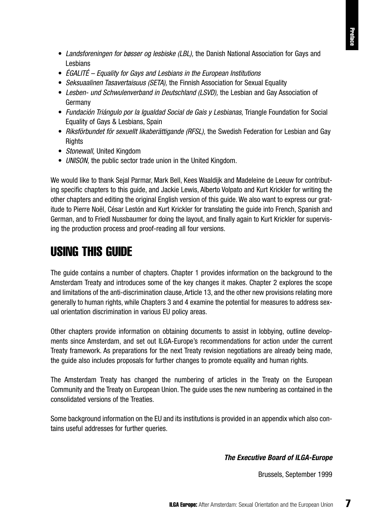- *Landsforeningen for bøsser og lesbiske (LBL),* the Danish National Association for Gays and Lesbians
- *ÉGALITÉ Equality for Gays and Lesbians in the European Institutions*
- *Seksuaalinen Tasavertaisuus (SETA),* the Finnish Association for Sexual Equality
- *Lesben- und Schwulenverband in Deutschland (LSVD),* the Lesbian and Gay Association of Germany
- *Fundación Triángulo por la Igualdad Social de Gais y Lesbianas,* Triangle Foundation for Social Equality of Gays & Lesbians, Spain
- *Riksförbundet för sexuellt likaberättigande (RFSL),* the Swedish Federation for Lesbian and Gay **Rights**
- *Stonewall,* United Kingdom
- *UNISON,* the public sector trade union in the United Kingdom.

We would like to thank Seial Parmar, Mark Bell, Kees Waaldijk and Madeleine de Leeuw for contributing specific chapters to this guide, and Jackie Lewis, Alberto Volpato and Kurt Krickler for writing the other chapters and editing the original English version of this guide. We also want to express our gratitude to Pierre Noël, César Lestón and Kurt Krickler for translating the guide into French, Spanish and German, and to Friedl Nussbaumer for doing the layout, and finally again to Kurt Krickler for supervising the production process and proof-reading all four versions.

#### USING THIS GUIDE

The guide contains a number of chapters. Chapter 1 provides information on the background to the Amsterdam Treaty and introduces some of the key changes it makes. Chapter 2 explores the scope and limitations of the anti-discrimination clause, Article 13, and the other new provisions relating more generally to human rights, while Chapters 3 and 4 examine the potential for measures to address sexual orientation discrimination in various EU policy areas.

Other chapters provide information on obtaining documents to assist in lobbying, outline developments since Amsterdam, and set out ILGA-Europe's recommendations for action under the current Treaty framework. As preparations for the next Treaty revision negotiations are already being made, the guide also includes proposals for further changes to promote equality and human rights.

The Amsterdam Treaty has changed the numbering of articles in the Treaty on the European Community and the Treaty on European Union. The guide uses the new numbering as contained in the consolidated versions of the Treaties.

Some background information on the EU and its institutions is provided in an appendix which also contains useful addresses for further queries.

#### *The Executive Board of ILGA-Europe*

Brussels, September 1999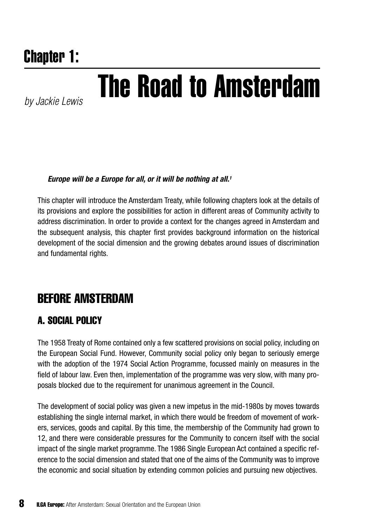## Chapter 1:

## *by Jackie Lewis* The Road to Amsterdam

#### *Europe will be a Europe for all, or it will be nothing at all.1*

This chapter will introduce the Amsterdam Treaty, while following chapters look at the details of its provisions and explore the possibilities for action in different areas of Community activity to address discrimination. In order to provide a context for the changes agreed in Amsterdam and the subsequent analysis, this chapter first provides background information on the historical development of the social dimension and the growing debates around issues of discrimination and fundamental rights.

### BEFORE AMSTERDAM

#### A. SOCIAL POLICY

The 1958 Treaty of Rome contained only a few scattered provisions on social policy, including on the European Social Fund. However, Community social policy only began to seriously emerge with the adoption of the 1974 Social Action Programme, focussed mainly on measures in the field of labour law. Even then, implementation of the programme was very slow, with many proposals blocked due to the requirement for unanimous agreement in the Council.

The development of social policy was given a new impetus in the mid-1980s by moves towards establishing the single internal market, in which there would be freedom of movement of workers, services, goods and capital. By this time, the membership of the Community had grown to 12, and there were considerable pressures for the Community to concern itself with the social impact of the single market programme. The 1986 Single European Act contained a specific reference to the social dimension and stated that one of the aims of the Community was to improve the economic and social situation by extending common policies and pursuing new objectives.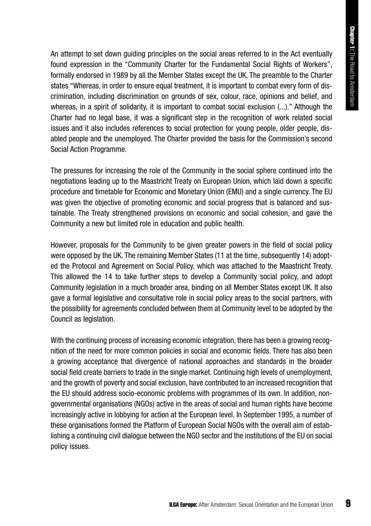An attempt to set down guiding principles on the social areas referred to in the Act eventually found expression in the "Community Charter for the Fundamental Social Rights of Workers", formally endorsed in 1989 by all the Member States except the UK. The preamble to the Charter states "Whereas, in order to ensure equal treatment, it is important to combat every form of discrimination, including discrimination on grounds of sex, colour, race, opinions and belief, and whereas, in a spirit of solidarity, it is important to combat social exclusion (...)." Although the Charter had no legal base, it was a significant step in the recognition of work related social issues and it also includes references to social protection for young people, older people, disabled people and the unemployed. The Charter provided the basis for the Commission's second Social Action Programme.

The pressures for increasing the role of the Community in the social sphere continued into the negotiations leading up to the Maastricht Treaty on European Union, which laid down a specific procedure and timetable for Economic and Monetary Union (EMU) and a single currency. The EU was given the objective of promoting economic and social progress that is balanced and sustainable. The Treaty strengthened provisions on economic and social cohesion, and gave the Community a new but limited role in education and public health.

However, proposals for the Community to be given greater powers in the field of social policy were opposed by the UK. The remaining Member States (11 at the time, subsequently 14) adopted the Protocol and Agreement on Social Policy, which was attached to the Maastricht Treaty. This allowed the 14 to take further steps to develop a Community social policy, and adopt Community legislation in a much broader area, binding on all Member States except UK. It also gave a formal legislative and consultative role in social policy areas to the social partners, with the possibility for agreements concluded between them at Community level to be adopted by the Council as legislation.

With the continuing process of increasing economic integration, there has been a growing recognition of the need for more common policies in social and economic fields. There has also been a growing acceptance that divergence of national approaches and standards in the broader social field create barriers to trade in the single market. Continuing high levels of unemployment, and the growth of poverty and social exclusion, have contributed to an increased recognition that the EU should address socio-economic problems with programmes of its own. In addition, nongovernmental organisations (NGOs) active in the areas of social and human rights have become increasingly active in lobbying for action at the European level. In September 1995, a number of these organisations formed the Platform of European Social NGOs with the overall aim of establishing a continuing civil dialogue between the NGO sector and the institutions of the EU on social policy issues.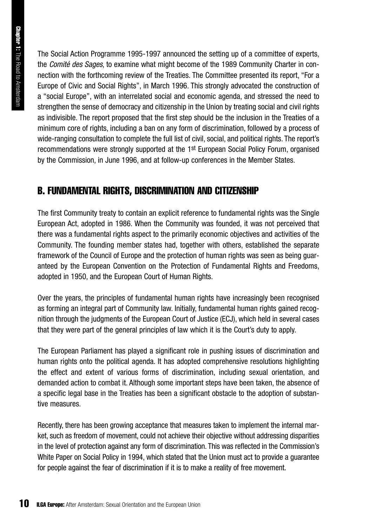The Social Action Programme 1995-1997 announced the setting up of a committee of experts, the *Comité des Sages*, to examine what might become of the 1989 Community Charter in connection with the forthcoming review of the Treaties. The Committee presented its report, "For a Europe of Civic and Social Rights", in March 1996. This strongly advocated the construction of a "social Europe", with an interrelated social and economic agenda, and stressed the need to strengthen the sense of democracy and citizenship in the Union by treating social and civil rights as indivisible. The report proposed that the first step should be the inclusion in the Treaties of a minimum core of rights, including a ban on any form of discrimination, followed by a process of wide-ranging consultation to complete the full list of civil, social, and political rights. The report's recommendations were strongly supported at the 1st European Social Policy Forum, organised by the Commission, in June 1996, and at follow-up conferences in the Member States.

#### B. FUNDAMENTAL RIGHTS, DISCRIMINATION AND CITIZENSHIP

The first Community treaty to contain an explicit reference to fundamental rights was the Single European Act, adopted in 1986. When the Community was founded, it was not perceived that there was a fundamental rights aspect to the primarily economic objectives and activities of the Community. The founding member states had, together with others, established the separate framework of the Council of Europe and the protection of human rights was seen as being guaranteed by the European Convention on the Protection of Fundamental Rights and Freedoms, adopted in 1950, and the European Court of Human Rights.

Over the years, the principles of fundamental human rights have increasingly been recognised as forming an integral part of Community law. Initially, fundamental human rights gained recognition through the judgments of the European Court of Justice (ECJ), which held in several cases that they were part of the general principles of law which it is the Court's duty to apply.

The European Parliament has played a significant role in pushing issues of discrimination and human rights onto the political agenda. It has adopted comprehensive resolutions highlighting the effect and extent of various forms of discrimination, including sexual orientation, and demanded action to combat it. Although some important steps have been taken, the absence of a specific legal base in the Treaties has been a significant obstacle to the adoption of substantive measures.

Recently, there has been growing acceptance that measures taken to implement the internal market, such as freedom of movement, could not achieve their objective without addressing disparities in the level of protection against any form of discrimination. This was reflected in the Commission's White Paper on Social Policy in 1994, which stated that the Union must act to provide a guarantee for people against the fear of discrimination if it is to make a reality of free movement.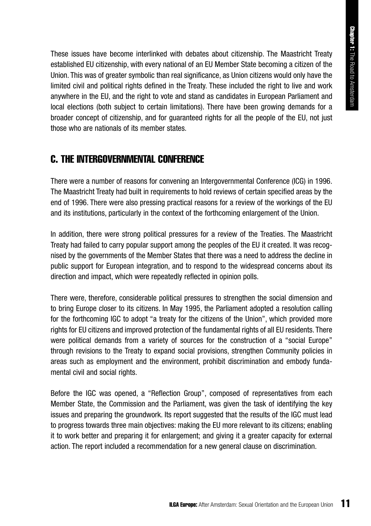These issues have become interlinked with debates about citizenship. The Maastricht Treaty established EU citizenship, with every national of an EU Member State becoming a citizen of the Union. This was of greater symbolic than real significance, as Union citizens would only have the limited civil and political rights defined in the Treaty. These included the right to live and work anywhere in the EU, and the right to vote and stand as candidates in European Parliament and local elections (both subject to certain limitations). There have been growing demands for a broader concept of citizenship, and for guaranteed rights for all the people of the EU, not just those who are nationals of its member states.

#### C. THE INTERGOVERNMENTAL CONFERENCE

There were a number of reasons for convening an Intergovernmental Conference (ICG) in 1996. The Maastricht Treaty had built in requirements to hold reviews of certain specified areas by the end of 1996. There were also pressing practical reasons for a review of the workings of the EU and its institutions, particularly in the context of the forthcoming enlargement of the Union.

In addition, there were strong political pressures for a review of the Treaties. The Maastricht Treaty had failed to carry popular support among the peoples of the EU it created. It was recognised by the governments of the Member States that there was a need to address the decline in public support for European integration, and to respond to the widespread concerns about its direction and impact, which were repeatedly reflected in opinion polls.

There were, therefore, considerable political pressures to strengthen the social dimension and to bring Europe closer to its citizens. In May 1995, the Parliament adopted a resolution calling for the forthcoming IGC to adopt "a treaty for the citizens of the Union", which provided more rights for EU citizens and improved protection of the fundamental rights of all EU residents. There were political demands from a variety of sources for the construction of a "social Europe" through revisions to the Treaty to expand social provisions, strengthen Community policies in areas such as employment and the environment, prohibit discrimination and embody fundamental civil and social rights.

Before the IGC was opened, a "Reflection Group", composed of representatives from each Member State, the Commission and the Parliament, was given the task of identifying the key issues and preparing the groundwork. Its report suggested that the results of the IGC must lead to progress towards three main objectives: making the EU more relevant to its citizens; enabling it to work better and preparing it for enlargement; and giving it a greater capacity for external action. The report included a recommendation for a new general clause on discrimination.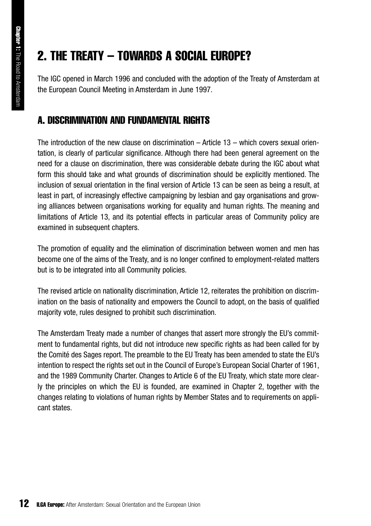## 2. THE TREATY – TOWARDS A SOCIAL EUROPE?

The IGC opened in March 1996 and concluded with the adoption of the Treaty of Amsterdam at the European Council Meeting in Amsterdam in June 1997.

#### A. DISCRIMINATION AND FUNDAMENTAL RIGHTS

The introduction of the new clause on discrimination  $-$  Article 13  $-$  which covers sexual orientation, is clearly of particular significance. Although there had been general agreement on the need for a clause on discrimination, there was considerable debate during the IGC about what form this should take and what grounds of discrimination should be explicitly mentioned. The inclusion of sexual orientation in the final version of Article 13 can be seen as being a result, at least in part, of increasingly effective campaigning by lesbian and gay organisations and growing alliances between organisations working for equality and human rights. The meaning and limitations of Article 13, and its potential effects in particular areas of Community policy are examined in subsequent chapters.

The promotion of equality and the elimination of discrimination between women and men has become one of the aims of the Treaty, and is no longer confined to employment-related matters but is to be integrated into all Community policies.

The revised article on nationality discrimination, Article 12, reiterates the prohibition on discrimination on the basis of nationality and empowers the Council to adopt, on the basis of qualified majority vote, rules designed to prohibit such discrimination.

The Amsterdam Treaty made a number of changes that assert more strongly the EU's commitment to fundamental rights, but did not introduce new specific rights as had been called for by the Comité des Sages report. The preamble to the EU Treaty has been amended to state the EU's intention to respect the rights set out in the Council of Europe's European Social Charter of 1961, and the 1989 Community Charter. Changes to Article 6 of the EU Treaty, which state more clearly the principles on which the EU is founded, are examined in Chapter 2, together with the changes relating to violations of human rights by Member States and to requirements on applicant states.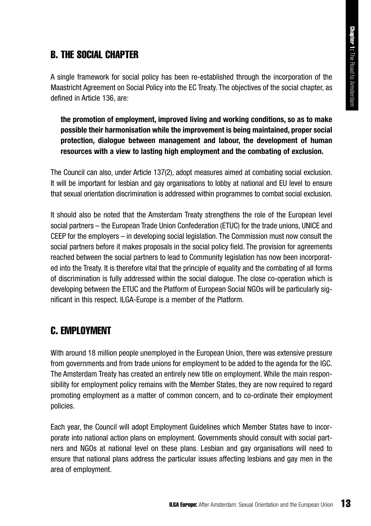#### B. THE SOCIAL CHAPTER

A single framework for social policy has been re-established through the incorporation of the Maastricht Agreement on Social Policy into the EC Treaty. The objectives of the social chapter, as defined in Article 136, are:

**the promotion of employment, improved living and working conditions, so as to make possible their harmonisation while the improvement is being maintained, proper social protection, dialogue between management and labour, the development of human resources with a view to lasting high employment and the combating of exclusion.**

The Council can also, under Article 137(2), adopt measures aimed at combating social exclusion. It will be important for lesbian and gay organisations to lobby at national and EU level to ensure that sexual orientation discrimination is addressed within programmes to combat social exclusion.

It should also be noted that the Amsterdam Treaty strengthens the role of the European level social partners – the European Trade Union Confederation (ETUC) for the trade unions, UNICE and CEEP for the employers – in developing social legislation. The Commission must now consult the social partners before it makes proposals in the social policy field. The provision for agreements reached between the social partners to lead to Community legislation has now been incorporated into the Treaty. It is therefore vital that the principle of equality and the combating of all forms of discrimination is fully addressed within the social dialogue. The close co-operation which is developing between the ETUC and the Platform of European Social NGOs will be particularly significant in this respect. ILGA-Europe is a member of the Platform.

#### C. EMPLOYMENT

With around 18 million people unemployed in the European Union, there was extensive pressure from governments and from trade unions for employment to be added to the agenda for the IGC. The Amsterdam Treaty has created an entirely new title on employment. While the main responsibility for employment policy remains with the Member States, they are now required to regard promoting employment as a matter of common concern, and to co-ordinate their employment policies.

Each year, the Council will adopt Employment Guidelines which Member States have to incorporate into national action plans on employment. Governments should consult with social partners and NGOs at national level on these plans. Lesbian and gay organisations will need to ensure that national plans address the particular issues affecting lesbians and gay men in the area of employment.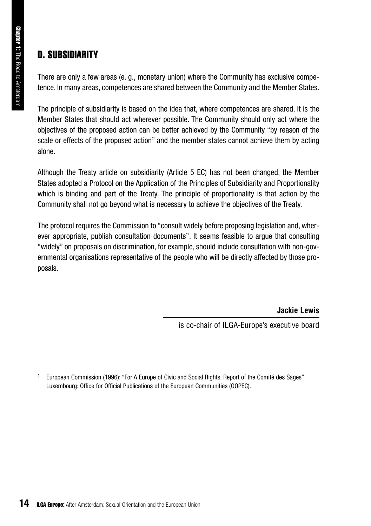#### D. SUBSIDIARITY

There are only a few areas (e. g., monetary union) where the Community has exclusive competence. In many areas, competences are shared between the Community and the Member States.

The principle of subsidiarity is based on the idea that, where competences are shared, it is the Member States that should act wherever possible. The Community should only act where the objectives of the proposed action can be better achieved by the Community "by reason of the scale or effects of the proposed action" and the member states cannot achieve them by acting alone.

Although the Treaty article on subsidiarity (Article 5 EC) has not been changed, the Member States adopted a Protocol on the Application of the Principles of Subsidiarity and Proportionality which is binding and part of the Treaty. The principle of proportionality is that action by the Community shall not go beyond what is necessary to achieve the objectives of the Treaty.

The protocol requires the Commission to "consult widely before proposing legislation and, wherever appropriate, publish consultation documents". It seems feasible to argue that consulting "widely" on proposals on discrimination, for example, should include consultation with non-governmental organisations representative of the people who will be directly affected by those proposals.

**Jackie Lewis**

is co-chair of ILGA-Europe's executive board

1 European Commission (1996): "For A Europe of Civic and Social Rights. Report of the Comité des Sages". Luxembourg: Office for Official Publications of the European Communities (OOPEC).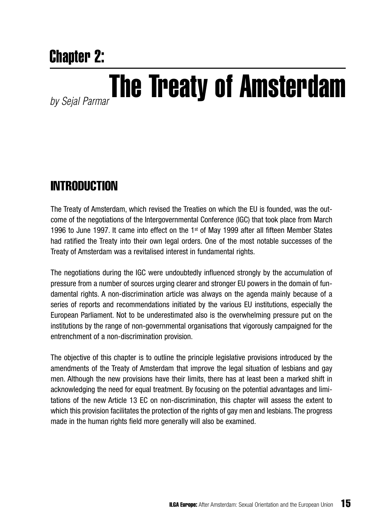## Chapter 2:

## *by Sejal Parmar*The Treaty of Amsterdam

### **INTRODUCTION**

The Treaty of Amsterdam, which revised the Treaties on which the EU is founded, was the outcome of the negotiations of the Intergovernmental Conference (IGC) that took place from March 1996 to June 1997. It came into effect on the 1<sup>st</sup> of May 1999 after all fifteen Member States had ratified the Treaty into their own legal orders. One of the most notable successes of the Treaty of Amsterdam was a revitalised interest in fundamental rights.

The negotiations during the IGC were undoubtedly influenced strongly by the accumulation of pressure from a number of sources urging clearer and stronger EU powers in the domain of fundamental rights. A non-discrimination article was always on the agenda mainly because of a series of reports and recommendations initiated by the various EU institutions, especially the European Parliament. Not to be underestimated also is the overwhelming pressure put on the institutions by the range of non-governmental organisations that vigorously campaigned for the entrenchment of a non-discrimination provision.

The objective of this chapter is to outline the principle legislative provisions introduced by the amendments of the Treaty of Amsterdam that improve the legal situation of lesbians and gay men. Although the new provisions have their limits, there has at least been a marked shift in acknowledging the need for equal treatment. By focusing on the potential advantages and limitations of the new Article 13 EC on non-discrimination, this chapter will assess the extent to which this provision facilitates the protection of the rights of gay men and lesbians. The progress made in the human rights field more generally will also be examined.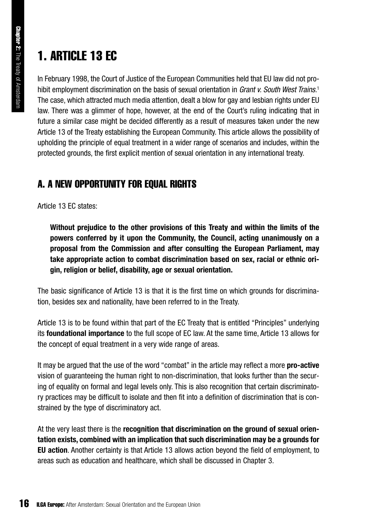## **1. ARTICLE 13 FC**

In February 1998, the Court of Justice of the European Communities held that EU law did not prohibit employment discrimination on the basis of sexual orientation in *Grant v. South West Trains.*<sup>1</sup> The case, which attracted much media attention, dealt a blow for gay and lesbian rights under EU law. There was a glimmer of hope, however, at the end of the Court's ruling indicating that in future a similar case might be decided differently as a result of measures taken under the new Article 13 of the Treaty establishing the European Community. This article allows the possibility of upholding the principle of equal treatment in a wider range of scenarios and includes, within the protected grounds, the first explicit mention of sexual orientation in any international treaty.

#### A. A NEW OPPORTUNITY FOR EQUAL RIGHTS

Article 13 EC states:

**Without prejudice to the other provisions of this Treaty and within the limits of the powers conferred by it upon the Community, the Council, acting unanimously on a proposal from the Commission and after consulting the European Parliament, may take appropriate action to combat discrimination based on sex, racial or ethnic origin, religion or belief, disability, age or sexual orientation.**

The basic significance of Article 13 is that it is the first time on which grounds for discrimination, besides sex and nationality, have been referred to in the Treaty.

Article 13 is to be found within that part of the EC Treaty that is entitled "Principles" underlying its **foundational importance** to the full scope of EC law. At the same time, Article 13 allows for the concept of equal treatment in a very wide range of areas.

It may be argued that the use of the word "combat" in the article may reflect a more **pro-active** vision of guaranteeing the human right to non-discrimination, that looks further than the securing of equality on formal and legal levels only. This is also recognition that certain discriminatory practices may be difficult to isolate and then fit into a definition of discrimination that is constrained by the type of discriminatory act.

At the very least there is the **recognition that discrimination on the ground of sexual orientation exists, combined with an implication that such discrimination may be a grounds for EU action**. Another certainty is that Article 13 allows action beyond the field of employment, to areas such as education and healthcare, which shall be discussed in Chapter 3.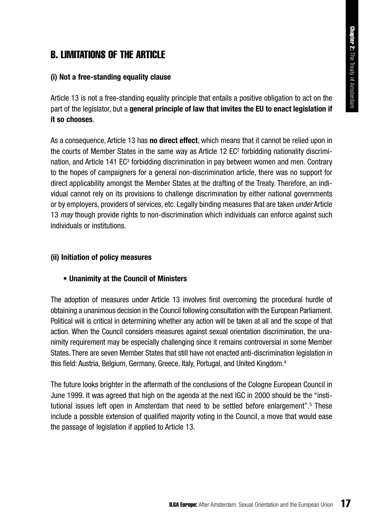#### **B. LIMITATIONS OF THE ARTICLE**

#### **(i) Not a free-standing equality clause**

Article 13 is not a free-standing equality principle that entails a positive obligation to act on the part of the legislator, but a **general principle of law that invites the EU to enact legislation if it so chooses**.

As a consequence, Article 13 has **no direct effect**, which means that it cannot be relied upon in the courts of Member States in the same way as Article 12 EC2 forbidding nationality discrimination, and Article 141 EC<sup>3</sup> forbidding discrimination in pay between women and men. Contrary to the hopes of campaigners for a general non-discrimination article, there was no support for direct applicability amongst the Member States at the drafting of the Treaty. Therefore, an individual cannot rely on its provisions to challenge discrimination by either national governments or by employers, providers of services, etc. Legally binding measures that are taken *under* Article 13 *may* though provide rights to non-discrimination which individuals can enforce against such individuals or institutions.

#### **(ii) Initiation of policy measures**

#### **• Unanimity at the Council of Ministers**

The adoption of measures under Article 13 involves first overcoming the procedural hurdle of obtaining a unanimous decision in the Council following consultation with the European Parliament. Political will is critical in determining whether any action will be taken at all and the scope of that action. When the Council considers measures against sexual orientation discrimination, the unanimity requirement may be especially challenging since it remains controversial in some Member States. There are seven Member States that still have not enacted anti-discrimination legislation in this field: Austria, Belgium, Germany, Greece, Italy, Portugal, and United Kingdom.4

The future looks brighter in the aftermath of the conclusions of the Cologne European Council in June 1999. It was agreed that high on the agenda at the next IGC in 2000 should be the "institutional issues left open in Amsterdam that need to be settled before enlargement".5 These include a possible extension of qualified majority voting in the Council, a move that would ease the passage of legislation if applied to Article 13.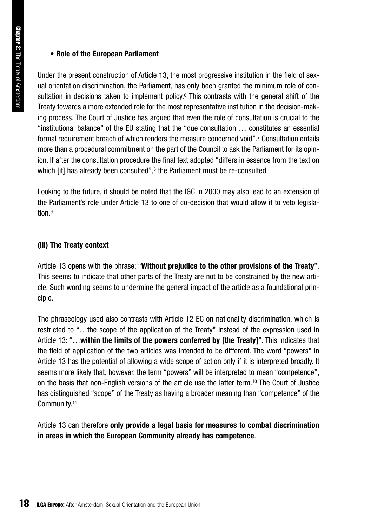#### **• Role of the European Parliament**

Under the present construction of Article 13, the most progressive institution in the field of sexual orientation discrimination, the Parliament, has only been granted the minimum role of consultation in decisions taken to implement policy.<sup>6</sup> This contrasts with the general shift of the Treaty towards a more extended role for the most representative institution in the decision-making process. The Court of Justice has argued that even the role of consultation is crucial to the "institutional balance" of the EU stating that the "due consultation … constitutes an essential formal requirement breach of which renders the measure concerned void".7 Consultation entails more than a procedural commitment on the part of the Council to ask the Parliament for its opinion. If after the consultation procedure the final text adopted "differs in essence from the text on which [it] has already been consulted",<sup>8</sup> the Parliament must be re-consulted.

Looking to the future, it should be noted that the IGC in 2000 may also lead to an extension of the Parliament's role under Article 13 to one of co-decision that would allow it to veto legislation<sup>9</sup>

#### **(iii) The Treaty context**

Article 13 opens with the phrase: "**Without prejudice to the other provisions of the Treaty**". This seems to indicate that other parts of the Treaty are not to be constrained by the new article. Such wording seems to undermine the general impact of the article as a foundational principle.

The phraseology used also contrasts with Article 12 EC on nationality discrimination, which is restricted to "…the scope of the application of the Treaty" instead of the expression used in Article 13: "…**within the limits of the powers conferred by [the Treaty]**". This indicates that the field of application of the two articles was intended to be different. The word "powers" in Article 13 has the potential of allowing a wide scope of action only if it is interpreted broadly. It seems more likely that, however, the term "powers" will be interpreted to mean "competence", on the basis that non-English versions of the article use the latter term.10 The Court of Justice has distinguished "scope" of the Treaty as having a broader meaning than "competence" of the Community.11

Article 13 can therefore **only provide a legal basis for measures to combat discrimination in areas in which the European Community already has competence**.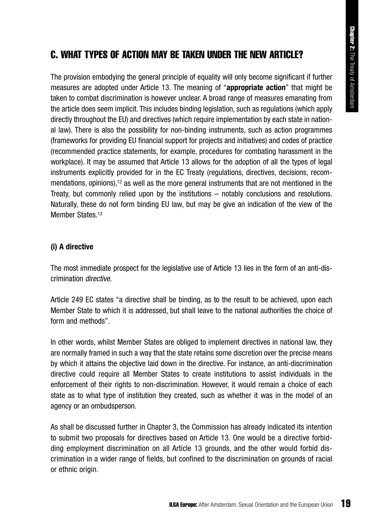#### C. WHAT TYPES OF ACTION MAY RE TAKEN UNDER THE NEW ARTICLE?

The provision embodying the general principle of equality will only become significant if further measures are adopted under Article 13. The meaning of "**appropriate action**" that might be taken to combat discrimination is however unclear. A broad range of measures emanating from the article does seem implicit. This includes binding legislation, such as regulations (which apply directly throughout the EU) and directives (which require implementation by each state in national law). There is also the possibility for non-binding instruments, such as action programmes (frameworks for providing EU financial support for projects and initiatives) and codes of practice (recommended practice statements, for example, procedures for combating harassment in the workplace). It may be assumed that Article 13 allows for the adoption of all the types of legal instruments explicitly provided for in the EC Treaty (regulations, directives, decisions, recommendations, opinions),<sup>12</sup> as well as the more general instruments that are not mentioned in the Treaty, but commonly relied upon by the institutions – notably conclusions and resolutions. Naturally, these do not form binding EU law, but may be give an indication of the view of the Member States.<sup>13</sup>

#### **(i) A directive**

The most immediate prospect for the legislative use of Article 13 lies in the form of an anti-discrimination *directive.*

Article 249 EC states "a directive shall be binding, as to the result to be achieved, upon each Member State to which it is addressed, but shall leave to the national authorities the choice of form and methods".

In other words, whilst Member States are obliged to implement directives in national law, they are normally framed in such a way that the state retains some discretion over the precise means by which it attains the objective laid down in the directive. For instance, an anti-discrimination directive could require all Member States to create institutions to assist individuals in the enforcement of their rights to non-discrimination. However, it would remain a choice of each state as to what type of institution they created, such as whether it was in the model of an agency or an ombudsperson.

As shall be discussed further in Chapter 3, the Commission has already indicated its intention to submit two proposals for directives based on Article 13. One would be a directive forbidding employment discrimination on all Article 13 grounds, and the other would forbid discrimination in a wider range of fields, but confined to the discrimination on grounds of racial or ethnic origin.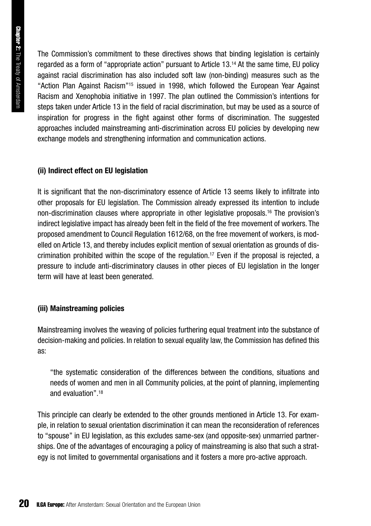The Commission's commitment to these directives shows that binding legislation is certainly regarded as a form of "appropriate action" pursuant to Article 13.14 At the same time, EU policy against racial discrimination has also included soft law (non-binding) measures such as the "Action Plan Against Racism"15 issued in 1998, which followed the European Year Against Racism and Xenophobia initiative in 1997. The plan outlined the Commission's intentions for steps taken under Article 13 in the field of racial discrimination, but may be used as a source of inspiration for progress in the fight against other forms of discrimination. The suggested approaches included mainstreaming anti-discrimination across EU policies by developing new exchange models and strengthening information and communication actions.

#### **(ii) Indirect effect on EU legislation**

It is significant that the non-discriminatory essence of Article 13 seems likely to infiltrate into other proposals for EU legislation. The Commission already expressed its intention to include non-discrimination clauses where appropriate in other legislative proposals.16 The provision's indirect legislative impact has already been felt in the field of the free movement of workers. The proposed amendment to Council Regulation 1612/68, on the free movement of workers, is modelled on Article 13, and thereby includes explicit mention of sexual orientation as grounds of discrimination prohibited within the scope of the regulation.<sup>17</sup> Even if the proposal is rejected, a pressure to include anti-discriminatory clauses in other pieces of EU legislation in the longer term will have at least been generated.

#### **(iii) Mainstreaming policies**

Mainstreaming involves the weaving of policies furthering equal treatment into the substance of decision-making and policies. In relation to sexual equality law, the Commission has defined this as:

"the systematic consideration of the differences between the conditions, situations and needs of women and men in all Community policies, at the point of planning, implementing and evaluation".18

This principle can clearly be extended to the other grounds mentioned in Article 13. For example, in relation to sexual orientation discrimination it can mean the reconsideration of references to "spouse" in EU legislation, as this excludes same-sex (and opposite-sex) unmarried partnerships. One of the advantages of encouraging a policy of mainstreaming is also that such a strategy is not limited to governmental organisations and it fosters a more pro-active approach.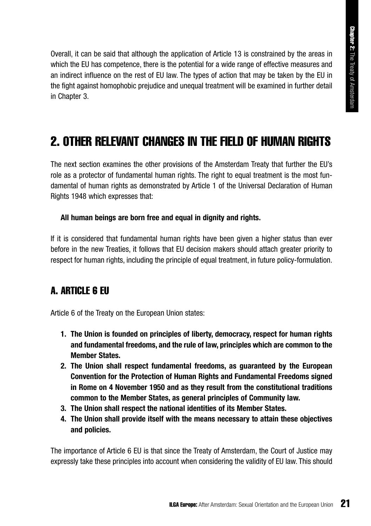Overall, it can be said that although the application of Article 13 is constrained by the areas in which the EU has competence, there is the potential for a wide range of effective measures and an indirect influence on the rest of EU law. The types of action that may be taken by the EU in the fight against homophobic prejudice and unequal treatment will be examined in further detail in Chapter 3.

### 2. OTHER RELEVANT CHANGES IN THE FIELD OF HUMAN RIGHTS

The next section examines the other provisions of the Amsterdam Treaty that further the EU's role as a protector of fundamental human rights. The right to equal treatment is the most fundamental of human rights as demonstrated by Article 1 of the Universal Declaration of Human Rights 1948 which expresses that:

#### **All human beings are born free and equal in dignity and rights.**

If it is considered that fundamental human rights have been given a higher status than ever before in the new Treaties, it follows that EU decision makers should attach greater priority to respect for human rights, including the principle of equal treatment, in future policy-formulation.

#### **A. ARTICI F & FIL**

Article 6 of the Treaty on the European Union states:

- **1. The Union is founded on principles of liberty, democracy, respect for human rights and fundamental freedoms, and the rule of law, principles which are common to the Member States.**
- **2. The Union shall respect fundamental freedoms, as guaranteed by the European Convention for the Protection of Human Rights and Fundamental Freedoms signed in Rome on 4 November 1950 and as they result from the constitutional traditions common to the Member States, as general principles of Community law.**
- **3. The Union shall respect the national identities of its Member States.**
- **4. The Union shall provide itself with the means necessary to attain these objectives and policies.**

The importance of Article 6 EU is that since the Treaty of Amsterdam, the Court of Justice may expressly take these principles into account when considering the validity of EU law. This should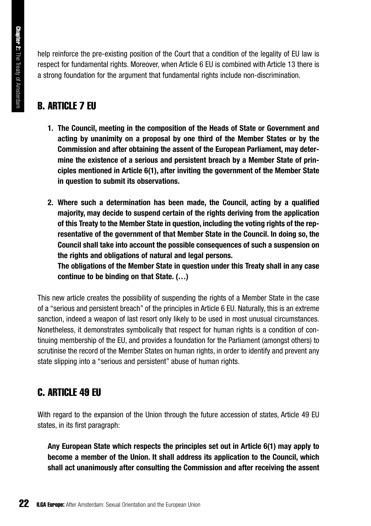help reinforce the pre-existing position of the Court that a condition of the legality of EU law is respect for fundamental rights. Moreover, when Article 6 EU is combined with Article 13 there is a strong foundation for the argument that fundamental rights include non-discrimination.

#### B. ARTICLE 7 EU

- **1. The Council, meeting in the composition of the Heads of State or Government and acting by unanimity on a proposal by one third of the Member States or by the Commission and after obtaining the assent of the European Parliament, may determine the existence of a serious and persistent breach by a Member State of principles mentioned in Article 6(1), after inviting the government of the Member State in question to submit its observations.**
- **2. Where such a determination has been made, the Council, acting by a qualified majority, may decide to suspend certain of the rights deriving from the application of this Treaty to the Member State in question, including the voting rights of the representative of the government of that Member State in the Council. In doing so, the Council shall take into account the possible consequences of such a suspension on the rights and obligations of natural and legal persons. The obligations of the Member State in question under this Treaty shall in any case**

**continue to be binding on that State. (…)**

This new article creates the possibility of suspending the rights of a Member State in the case of a "serious and persistent breach" of the principles in Article 6 EU. Naturally, this is an extreme sanction, indeed a weapon of last resort only likely to be used in most unusual circumstances. Nonetheless, it demonstrates symbolically that respect for human rights is a condition of continuing membership of the EU, and provides a foundation for the Parliament (amongst others) to scrutinise the record of the Member States on human rights, in order to identify and prevent any state slipping into a "serious and persistent" abuse of human rights.

#### C. ARTICI F 49 FII

With regard to the expansion of the Union through the future accession of states, Article 49 EU states, in its first paragraph:

**Any European State which respects the principles set out in Article 6(1) may apply to become a member of the Union. It shall address its application to the Council, which shall act unanimously after consulting the Commission and after receiving the assent**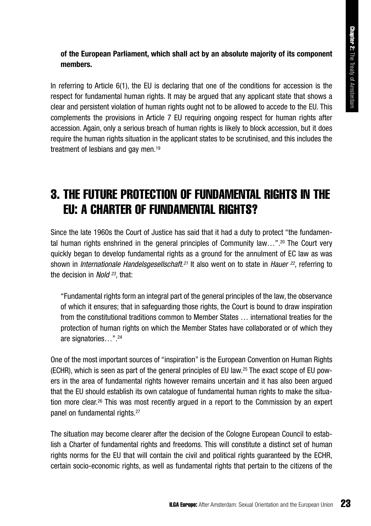#### **of the European Parliament, which shall act by an absolute majority of its component members.**

In referring to Article 6(1), the EU is declaring that one of the conditions for accession is the respect for fundamental human rights. It may be argued that any applicant state that shows a clear and persistent violation of human rights ought not to be allowed to accede to the EU. This complements the provisions in Article 7 EU requiring ongoing respect for human rights after accession. Again, only a serious breach of human rights is likely to block accession, but it does require the human rights situation in the applicant states to be scrutinised, and this includes the treatment of lesbians and gay men.<sup>19</sup>

### 3. THE FUTURE PROTECTION OF FUNDAMENTAL RIGHTS IN THE EU: A CHARTER OF FUNDAMENTAL RIGHTS?

Since the late 1960s the Court of Justice has said that it had a duty to protect "the fundamental human rights enshrined in the general principles of Community law…".20 The Court very quickly began to develop fundamental rights as a ground for the annulment of EC law as was shown in *Internationale Handelsgesellschaft.21* It also went on to state in *Hauer 22,* referring to the decision in *Nold 23,* that:

"Fundamental rights form an integral part of the general principles of the law, the observance of which it ensures; that in safeguarding those rights, the Court is bound to draw inspiration from the constitutional traditions common to Member States … international treaties for the protection of human rights on which the Member States have collaborated or of which they are signatories…".24

One of the most important sources of "inspiration" is the European Convention on Human Rights (ECHR), which is seen as part of the general principles of EU law.25 The exact scope of EU powers in the area of fundamental rights however remains uncertain and it has also been argued that the EU should establish its own catalogue of fundamental human rights to make the situation more clear.26 This was most recently argued in a report to the Commission by an expert panel on fundamental rights.<sup>27</sup>

The situation may become clearer after the decision of the Cologne European Council to establish a Charter of fundamental rights and freedoms. This will constitute a distinct set of human rights norms for the EU that will contain the civil and political rights guaranteed by the ECHR, certain socio-economic rights, as well as fundamental rights that pertain to the citizens of the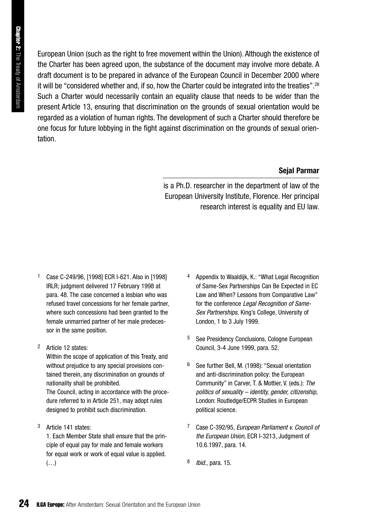European Union (such as the right to free movement within the Union). Although the existence of the Charter has been agreed upon, the substance of the document may involve more debate. A draft document is to be prepared in advance of the European Council in December 2000 where it will be "considered whether and, if so, how the Charter could be integrated into the treaties".28 Such a Charter would necessarily contain an equality clause that needs to be wider than the present Article 13, ensuring that discrimination on the grounds of sexual orientation would be regarded as a violation of human rights. The development of such a Charter should therefore be one focus for future lobbying in the fight against discrimination on the grounds of sexual orientation.

#### **Sejal Parmar**

is a Ph.D. researcher in the department of law of the European University Institute, Florence. Her principal research interest is equality and EU law.

- 1 Case C-249/96, [1998] ECR I-621. Also in [1998] IRLR; judgment delivered 17 February 1998 at para. 48. The case concerned a lesbian who was refused travel concessions for her female partner, where such concessions had been granted to the female unmarried partner of her male predecessor in the same position.
- 2 Article 12 states:

Within the scope of application of this Treaty, and without prejudice to any special provisions contained therein, any discrimination on grounds of nationality shall be prohibited.

The Council, acting in accordance with the procedure referred to in Article 251, may adopt rules designed to prohibit such discrimination.

3 Article 141 states:

1. Each Member State shall ensure that the principle of equal pay for male and female workers for equal work or work of equal value is applied. (…)

- Appendix to Waaldiik, K.: "What Legal Recognition of Same-Sex Partnerships Can Be Expected in EC Law and When? Lessons from Comparative Law" for the conference *Legal Recognition of Same-Sex Partnerships,* King's College, University of London, 1 to 3 July 1999.
- 5 See Presidency Conclusions, Cologne European Council, 3-4 June 1999, para. 52.
- 6 See further Bell, M. (1998): "Sexual orientation and anti-discrimination policy: the European Community" in Carver, T. & Mottier, V. (eds.): *The politics of sexuality – identity, gender, citizenship*, London: Routledge/ECPR Studies in European political science.
- 7 Case C-392/95, *European Parliament v. Council of the European Union,* ECR I-3213, Judgment of 10.6.1997, para. 14.
- 8 *Ibid.*, para. 15.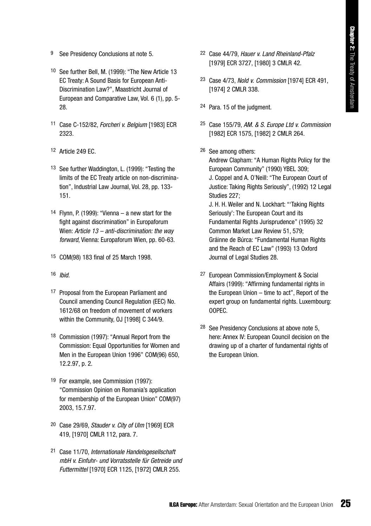- 9 See Presidency Conclusions at note 5.
- 10 See further Bell, M. (1999): "The New Article 13 EC Treaty: A Sound Basis for European Anti-Discrimination Law?", Maastricht Journal of European and Comparative Law, Vol. 6 (1), pp. 5- 28.
- 11 Case C-152/82, *Forcheri v. Belgium* [1983] ECR 2323.
- 12 Article 249 EC.
- 13 See further Waddington, L. (1999): "Testing the limits of the EC Treaty article on non-discrimination", Industrial Law Journal, Vol. 28, pp. 133- 151.
- 14 Flynn, P. (1999): "Vienna a new start for the fight against discrimination" in Europaforum Wien: *Article 13 – anti-discrimination: the way forward*, Vienna: Europaforum Wien, pp. 60-63.
- 15 COM(98) 183 final of 25 March 1998.
- 16 *Ibid.*
- 17 Proposal from the European Parliament and Council amending Council Regulation (EEC) No. 1612/68 on freedom of movement of workers within the Community, OJ [1998] C 344/9.
- 18 Commission (1997): "Annual Report from the Commission: Equal Opportunities for Women and Men in the European Union 1996" COM(96) 650, 12.2.97, p. 2.
- 19 For example, see Commission (1997): "Commission Opinion on Romania's application for membership of the European Union" COM(97) 2003, 15.7.97.
- 20 Case 29/69, *Stauder v. City of Ulm* [1969] ECR 419, [1970] CMLR 112, para. 7.
- 21 Case 11/70, *Internationale Handelsgesellschaft mbH v. Einfuhr- und Vorratsstelle für Getreide und Futtermittel* [1970] ECR 1125, [1972] CMLR 255.
- 22 Case 44/79, *Hauer v. Land Rheinland-Pfalz* [1979] ECR 3727, [1980] 3 CMLR 42.
- 23 Case 4/73, *Nold v. Commission* [1974] ECR 491, [1974] 2 CMLR 338.
- 24 Para. 15 of the judgment.
- 25 Case 155/79, *AM. & S. Europe Ltd v. Commission* [1982] ECR 1575, [1982] 2 CMLR 264.
- 26 See among others:

Andrew Clapham: "A Human Rights Policy for the European Community" (1990) YBEL 309; J. Coppel and A. O'Neill: "The European Court of Justice: Taking Rights Seriously", (1992) 12 Legal Studies 227; J. H. H. Weiler and N. Lockhart: "'Taking Rights Seriously': The European Court and its Fundamental Rights Jurisprudence" (1995) 32

Common Market Law Review 51, 579; Gráinne de Búrca: "Fundamental Human Rights and the Reach of EC Law" (1993) 13 Oxford Journal of Legal Studies 28.

- 27 European Commission/Employment & Social Affairs (1999): "Affirming fundamental rights in the European Union – time to act", Report of the expert group on fundamental rights. Luxembourg: OOPEC.
- 28 See Presidency Conclusions at above note 5, here: Annex IV: European Council decision on the drawing up of a charter of fundamental rights of the European Union.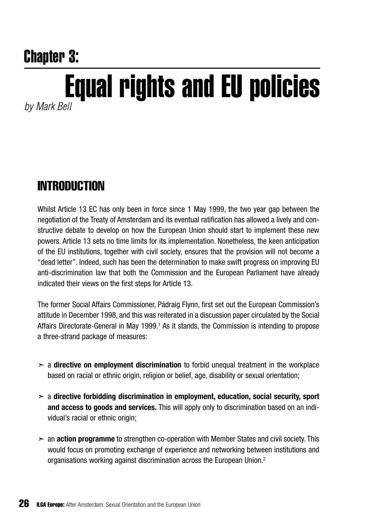## Chapter 3:

## Equal rights and EU policies

*by Mark Bell*

### **INTRODUCTION**

Whilst Article 13 EC has only been in force since 1 May 1999, the two year gap between the negotiation of the Treaty of Amsterdam and its eventual ratification has allowed a lively and constructive debate to develop on how the European Union should start to implement these new powers. Article 13 sets no time limits for its implementation. Nonetheless, the keen anticipation of the EU institutions, together with civil society, ensures that the provision will not become a "dead letter". Indeed, such has been the determination to make swift progress on improving EU anti-discrimination law that both the Commission and the European Parliament have already indicated their views on the first steps for Article 13.

The former Social Affairs Commissioner, Pádraig Flynn, first set out the European Commission's attitude in December 1998, and this was reiterated in a discussion paper circulated by the Social Affairs Directorate-General in May 1999.1 As it stands, the Commission is intending to propose a three-strand package of measures:

- ➣ a **directive on employment discrimination** to forbid unequal treatment in the workplace based on racial or ethnic origin, religion or belief, age, disability or sexual orientation;
- ➣ a **directive forbidding discrimination in employment, education, social security, sport and access to goods and services.** This will apply only to discrimination based on an individual's racial or ethnic origin;
- ➣ an **action programme** to strengthen co-operation with Member States and civil society. This would focus on promoting exchange of experience and networking between institutions and organisations working against discrimination across the European Union.2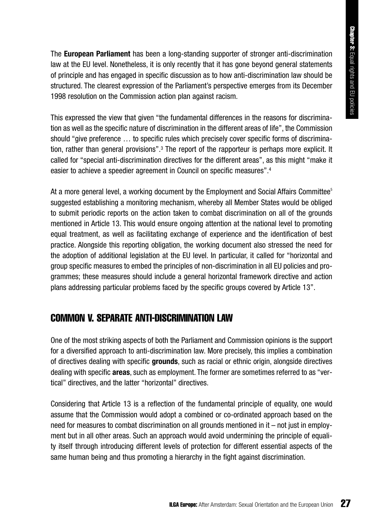The **European Parliament** has been a long-standing supporter of stronger anti-discrimination law at the EU level. Nonetheless, it is only recently that it has gone beyond general statements of principle and has engaged in specific discussion as to how anti-discrimination law should be structured. The clearest expression of the Parliament's perspective emerges from its December 1998 resolution on the Commission action plan against racism.

This expressed the view that given "the fundamental differences in the reasons for discrimination as well as the specific nature of discrimination in the different areas of life", the Commission should "give preference … to specific rules which precisely cover specific forms of discrimination, rather than general provisions".3 The report of the rapporteur is perhaps more explicit. It called for "special anti-discrimination directives for the different areas", as this might "make it easier to achieve a speedier agreement in Council on specific measures".<sup>4</sup>

At a more general level, a working document by the Employment and Social Affairs Committee<sup>5</sup> suggested establishing a monitoring mechanism, whereby all Member States would be obliged to submit periodic reports on the action taken to combat discrimination on all of the grounds mentioned in Article 13. This would ensure ongoing attention at the national level to promoting equal treatment, as well as facilitating exchange of experience and the identification of best practice. Alongside this reporting obligation, the working document also stressed the need for the adoption of additional legislation at the EU level. In particular, it called for "horizontal and group specific measures to embed the principles of non-discrimination in all EU policies and programmes; these measures should include a general horizontal framework directive and action plans addressing particular problems faced by the specific groups covered by Article 13".

#### COMMON V. SEPARATE ANTI-DISCRIMINATION LAW

One of the most striking aspects of both the Parliament and Commission opinions is the support for a diversified approach to anti-discrimination law. More precisely, this implies a combination of directives dealing with specific **grounds**, such as racial or ethnic origin, alongside directives dealing with specific **areas**, such as employment. The former are sometimes referred to as "vertical" directives, and the latter "horizontal" directives.

Considering that Article 13 is a reflection of the fundamental principle of equality, one would assume that the Commission would adopt a combined or co-ordinated approach based on the need for measures to combat discrimination on all grounds mentioned in it – not just in employment but in all other areas. Such an approach would avoid undermining the principle of equality itself through introducing different levels of protection for different essential aspects of the same human being and thus promoting a hierarchy in the fight against discrimination.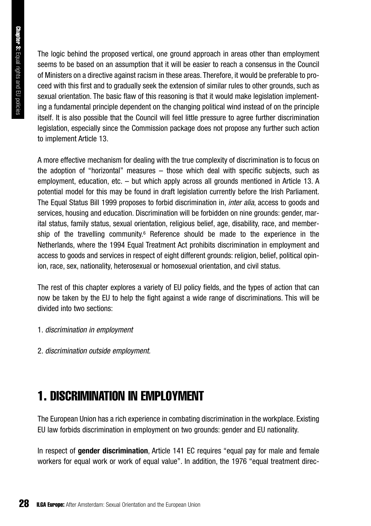The logic behind the proposed vertical, one ground approach in areas other than employment seems to be based on an assumption that it will be easier to reach a consensus in the Council of Ministers on a directive against racism in these areas. Therefore, it would be preferable to proceed with this first and to gradually seek the extension of similar rules to other grounds, such as sexual orientation. The basic flaw of this reasoning is that it would make legislation implementing a fundamental principle dependent on the changing political wind instead of on the principle itself. It is also possible that the Council will feel little pressure to agree further discrimination legislation, especially since the Commission package does not propose any further such action to implement Article 13.

A more effective mechanism for dealing with the true complexity of discrimination is to focus on the adoption of "horizontal" measures – those which deal with specific subjects, such as employment, education, etc. – but which apply across all grounds mentioned in Article 13. A potential model for this may be found in draft legislation currently before the Irish Parliament. The Equal Status Bill 1999 proposes to forbid discrimination in, *inter alia*, access to goods and services, housing and education. Discrimination will be forbidden on nine grounds: gender, marital status, family status, sexual orientation, religious belief, age, disability, race, and membership of the travelling community.<sup> $6$ </sup> Reference should be made to the experience in the Netherlands, where the 1994 Equal Treatment Act prohibits discrimination in employment and access to goods and services in respect of eight different grounds: religion, belief, political opinion, race, sex, nationality, heterosexual or homosexual orientation, and civil status.

The rest of this chapter explores a variety of EU policy fields, and the types of action that can now be taken by the EU to help the fight against a wide range of discriminations. This will be divided into two sections:

- 1. *discrimination in employment*
- 2. *discrimination outside employment.*

## 1. DISCRIMINATION IN EMPLOYMENT

The European Union has a rich experience in combating discrimination in the workplace. Existing EU law forbids discrimination in employment on two grounds: gender and EU nationality.

In respect of **gender discrimination**, Article 141 EC requires "equal pay for male and female workers for equal work or work of equal value". In addition, the 1976 "equal treatment direc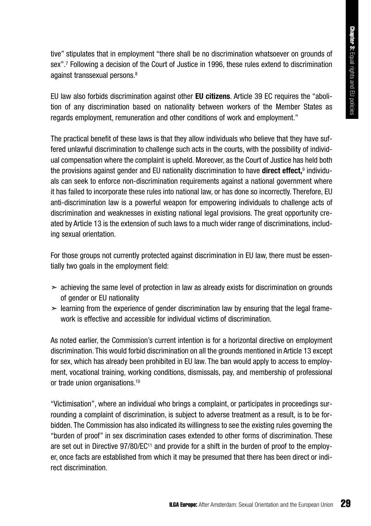tive" stipulates that in employment "there shall be no discrimination whatsoever on grounds of sex".<sup>7</sup> Following a decision of the Court of Justice in 1996, these rules extend to discrimination against transsexual persons.<sup>8</sup>

EU law also forbids discrimination against other **EU citizens**. Article 39 EC requires the "abolition of any discrimination based on nationality between workers of the Member States as regards employment, remuneration and other conditions of work and employment."

The practical benefit of these laws is that they allow individuals who believe that they have suffered unlawful discrimination to challenge such acts in the courts, with the possibility of individual compensation where the complaint is upheld. Moreover, as the Court of Justice has held both the provisions against gender and EU nationality discrimination to have **direct effect,**<sup>9</sup> individuals can seek to enforce non-discrimination requirements against a national government where it has failed to incorporate these rules into national law, or has done so incorrectly. Therefore, EU anti-discrimination law is a powerful weapon for empowering individuals to challenge acts of discrimination and weaknesses in existing national legal provisions. The great opportunity created by Article 13 is the extension of such laws to a much wider range of discriminations, including sexual orientation.

For those groups not currently protected against discrimination in EU law, there must be essentially two goals in the employment field:

- $\geq$  achieving the same level of protection in law as already exists for discrimination on grounds of gender or EU nationality
- $\geq$  learning from the experience of gender discrimination law by ensuring that the legal framework is effective and accessible for individual victims of discrimination.

As noted earlier, the Commission's current intention is for a horizontal directive on employment discrimination. This would forbid discrimination on all the grounds mentioned in Article 13 except for sex, which has already been prohibited in EU law. The ban would apply to access to employment, vocational training, working conditions, dismissals, pay, and membership of professional or trade union organisations.10

"Victimisation", where an individual who brings a complaint, or participates in proceedings surrounding a complaint of discrimination, is subject to adverse treatment as a result, is to be forbidden. The Commission has also indicated its willingness to see the existing rules governing the "burden of proof" in sex discrimination cases extended to other forms of discrimination. These are set out in Directive 97/80/EC<sup>11</sup> and provide for a shift in the burden of proof to the employer, once facts are established from which it may be presumed that there has been direct or indirect discrimination.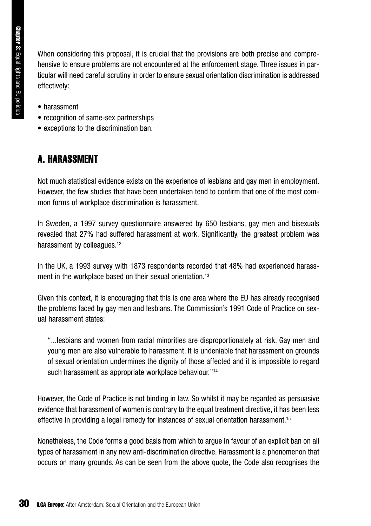When considering this proposal, it is crucial that the provisions are both precise and comprehensive to ensure problems are not encountered at the enforcement stage. Three issues in particular will need careful scrutiny in order to ensure sexual orientation discrimination is addressed effectively:

- harassment
- recognition of same-sex partnerships
- exceptions to the discrimination ban.

#### A. HARASSMENT

Not much statistical evidence exists on the experience of lesbians and gay men in employment. However, the few studies that have been undertaken tend to confirm that one of the most common forms of workplace discrimination is harassment.

In Sweden, a 1997 survey questionnaire answered by 650 lesbians, gay men and bisexuals revealed that 27% had suffered harassment at work. Significantly, the greatest problem was harassment by colleagues.<sup>12</sup>

In the UK, a 1993 survey with 1873 respondents recorded that 48% had experienced harassment in the workplace based on their sexual orientation.<sup>13</sup>

Given this context, it is encouraging that this is one area where the EU has already recognised the problems faced by gay men and lesbians. The Commission's 1991 Code of Practice on sexual harassment states:

"...lesbians and women from racial minorities are disproportionately at risk. Gay men and young men are also vulnerable to harassment. It is undeniable that harassment on grounds of sexual orientation undermines the dignity of those affected and it is impossible to regard such harassment as appropriate workplace behaviour."14

However, the Code of Practice is not binding in law. So whilst it may be regarded as persuasive evidence that harassment of women is contrary to the equal treatment directive, it has been less effective in providing a legal remedy for instances of sexual orientation harassment.15

Nonetheless, the Code forms a good basis from which to argue in favour of an explicit ban on all types of harassment in any new anti-discrimination directive. Harassment is a phenomenon that occurs on many grounds. As can be seen from the above quote, the Code also recognises the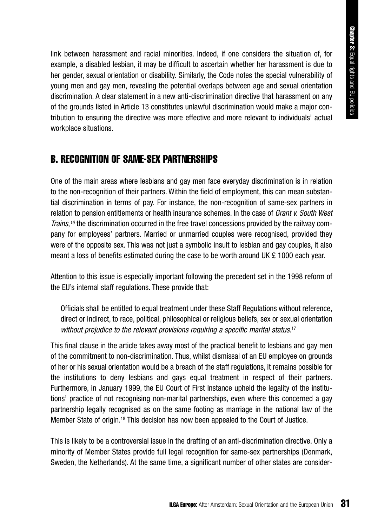link between harassment and racial minorities. Indeed, if one considers the situation of, for example, a disabled lesbian, it may be difficult to ascertain whether her harassment is due to her gender, sexual orientation or disability. Similarly, the Code notes the special vulnerability of young men and gay men, revealing the potential overlaps between age and sexual orientation discrimination. A clear statement in a new anti-discrimination directive that harassment on any of the grounds listed in Article 13 constitutes unlawful discrimination would make a major contribution to ensuring the directive was more effective and more relevant to individuals' actual workplace situations.

#### B. RECOGNITION OF SAME-SEX PARTNERSHIPS

One of the main areas where lesbians and gay men face everyday discrimination is in relation to the non-recognition of their partners. Within the field of employment, this can mean substantial discrimination in terms of pay. For instance, the non-recognition of same-sex partners in relation to pension entitlements or health insurance schemes. In the case of *Grant v. South West Trains*, *<sup>16</sup>* the discrimination occurred in the free travel concessions provided by the railway company for employees' partners. Married or unmarried couples were recognised, provided they were of the opposite sex. This was not just a symbolic insult to lesbian and gay couples, it also meant a loss of benefits estimated during the case to be worth around UK  $\epsilon$  1000 each year.

Attention to this issue is especially important following the precedent set in the 1998 reform of the EU's internal staff regulations. These provide that:

Officials shall be entitled to equal treatment under these Staff Regulations without reference, direct or indirect, to race, political, philosophical or religious beliefs, sex or sexual orientation without prejudice to the relevant provisions requiring a specific marital status.<sup>17</sup>

This final clause in the article takes away most of the practical benefit to lesbians and gay men of the commitment to non-discrimination. Thus, whilst dismissal of an EU employee on grounds of her or his sexual orientation would be a breach of the staff regulations, it remains possible for the institutions to deny lesbians and gays equal treatment in respect of their partners. Furthermore, in January 1999, the EU Court of First Instance upheld the legality of the institutions' practice of not recognising non-marital partnerships, even where this concerned a gay partnership legally recognised as on the same footing as marriage in the national law of the Member State of origin.18 This decision has now been appealed to the Court of Justice.

This is likely to be a controversial issue in the drafting of an anti-discrimination directive. Only a minority of Member States provide full legal recognition for same-sex partnerships (Denmark, Sweden, the Netherlands). At the same time, a significant number of other states are consider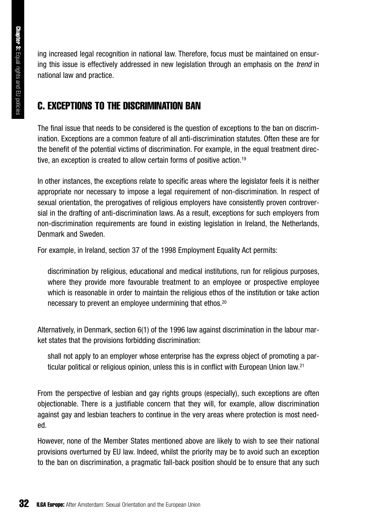ing increased legal recognition in national law. Therefore, focus must be maintained on ensuring this issue is effectively addressed in new legislation through an emphasis on the *trend* in national law and practice.

#### C. EXCEPTIONS TO THE DISCRIMINATION BAN

The final issue that needs to be considered is the question of exceptions to the ban on discrimination. Exceptions are a common feature of all anti-discrimination statutes. Often these are for the benefit of the potential victims of discrimination. For example, in the equal treatment directive, an exception is created to allow certain forms of positive action.19

In other instances, the exceptions relate to specific areas where the legislator feels it is neither appropriate nor necessary to impose a legal requirement of non-discrimination. In respect of sexual orientation, the prerogatives of religious employers have consistently proven controversial in the drafting of anti-discrimination laws. As a result, exceptions for such employers from non-discrimination requirements are found in existing legislation in Ireland, the Netherlands, Denmark and Sweden.

For example, in Ireland, section 37 of the 1998 Employment Equality Act permits:

discrimination by religious, educational and medical institutions, run for religious purposes, where they provide more favourable treatment to an employee or prospective employee which is reasonable in order to maintain the religious ethos of the institution or take action necessary to prevent an employee undermining that ethos.20

Alternatively, in Denmark, section 6(1) of the 1996 law against discrimination in the labour market states that the provisions forbidding discrimination:

shall not apply to an employer whose enterprise has the express object of promoting a particular political or religious opinion, unless this is in conflict with European Union law.21

From the perspective of lesbian and gay rights groups (especially), such exceptions are often objectionable. There is a justifiable concern that they will, for example, allow discrimination against gay and lesbian teachers to continue in the very areas where protection is most needed.

However, none of the Member States mentioned above are likely to wish to see their national provisions overturned by EU law. Indeed, whilst the priority may be to avoid such an exception to the ban on discrimination, a pragmatic fall-back position should be to ensure that any such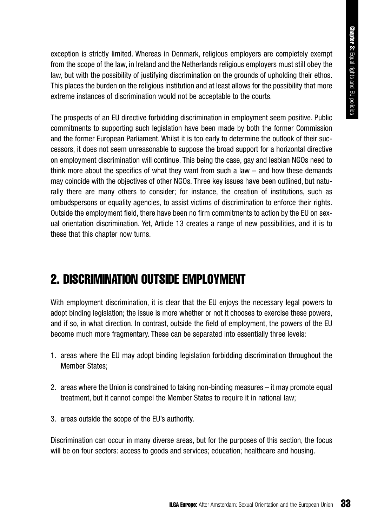exception is strictly limited. Whereas in Denmark, religious employers are completely exempt from the scope of the law, in Ireland and the Netherlands religious employers must still obey the law, but with the possibility of justifying discrimination on the grounds of upholding their ethos. This places the burden on the religious institution and at least allows for the possibility that more extreme instances of discrimination would not be acceptable to the courts.

The prospects of an EU directive forbidding discrimination in employment seem positive. Public commitments to supporting such legislation have been made by both the former Commission and the former European Parliament. Whilst it is too early to determine the outlook of their successors, it does not seem unreasonable to suppose the broad support for a horizontal directive on employment discrimination will continue. This being the case, gay and lesbian NGOs need to think more about the specifics of what they want from such a law – and how these demands may coincide with the objectives of other NGOs. Three key issues have been outlined, but naturally there are many others to consider; for instance, the creation of institutions, such as ombudspersons or equality agencies, to assist victims of discrimination to enforce their rights. Outside the employment field, there have been no firm commitments to action by the EU on sexual orientation discrimination. Yet, Article 13 creates a range of new possibilities, and it is to these that this chapter now turns.

### 2. DISCRIMINATION OUTSIDE EMPLOYMENT

With employment discrimination, it is clear that the EU eniovs the necessary legal powers to adopt binding legislation; the issue is more whether or not it chooses to exercise these powers, and if so, in what direction. In contrast, outside the field of employment, the powers of the EU become much more fragmentary. These can be separated into essentially three levels:

- 1. areas where the EU may adopt binding legislation forbidding discrimination throughout the Member States;
- 2. areas where the Union is constrained to taking non-binding measures it may promote equal treatment, but it cannot compel the Member States to require it in national law;
- 3. areas outside the scope of the EU's authority.

Discrimination can occur in many diverse areas, but for the purposes of this section, the focus will be on four sectors: access to goods and services; education; healthcare and housing.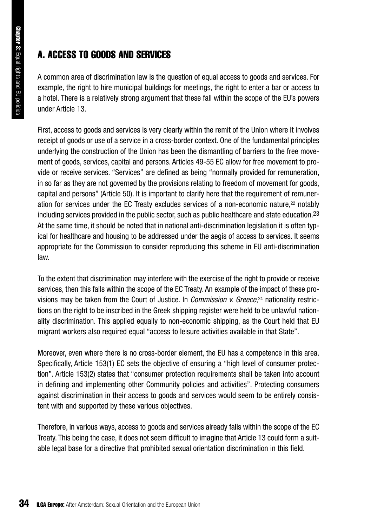#### A. ACCESS TO GOODS AND SERVICES

A common area of discrimination law is the question of equal access to goods and services. For example, the right to hire municipal buildings for meetings, the right to enter a bar or access to a hotel. There is a relatively strong argument that these fall within the scope of the EU's powers under Article 13.

First, access to goods and services is very clearly within the remit of the Union where it involves receipt of goods or use of a service in a cross-border context. One of the fundamental principles underlying the construction of the Union has been the dismantling of barriers to the free movement of goods, services, capital and persons. Articles 49-55 EC allow for free movement to provide or receive services. "Services" are defined as being "normally provided for remuneration, in so far as they are not governed by the provisions relating to freedom of movement for goods, capital and persons" (Article 50). It is important to clarify here that the requirement of remuneration for services under the EC Treaty excludes services of a non-economic nature,22 notably including services provided in the public sector, such as public healthcare and state education.  $2<sup>3</sup>$ At the same time, it should be noted that in national anti-discrimination legislation it is often typical for healthcare and housing to be addressed under the aegis of access to services. It seems appropriate for the Commission to consider reproducing this scheme in EU anti-discrimination law.

To the extent that discrimination may interfere with the exercise of the right to provide or receive services, then this falls within the scope of the EC Treaty. An example of the impact of these provisions may be taken from the Court of Justice. In *Commission v. Greece*, <sup>24</sup> nationality restrictions on the right to be inscribed in the Greek shipping register were held to be unlawful nationality discrimination. This applied equally to non-economic shipping, as the Court held that EU migrant workers also required equal "access to leisure activities available in that State".

Moreover, even where there is no cross-border element, the EU has a competence in this area. Specifically, Article 153(1) EC sets the objective of ensuring a "high level of consumer protection". Article 153(2) states that "consumer protection requirements shall be taken into account in defining and implementing other Community policies and activities". Protecting consumers against discrimination in their access to goods and services would seem to be entirely consistent with and supported by these various objectives.

Therefore, in various ways, access to goods and services already falls within the scope of the EC Treaty. This being the case, it does not seem difficult to imagine that Article 13 could form a suitable legal base for a directive that prohibited sexual orientation discrimination in this field.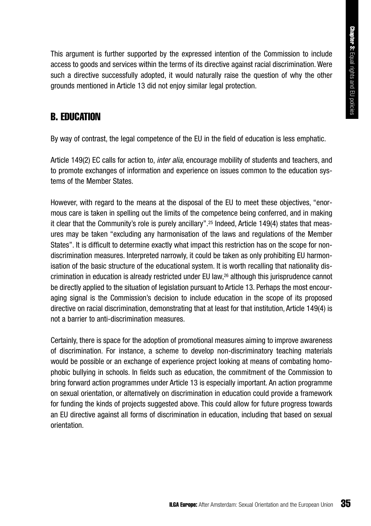This argument is further supported by the expressed intention of the Commission to include access to goods and services within the terms of its directive against racial discrimination. Were such a directive successfully adopted, it would naturally raise the question of why the other grounds mentioned in Article 13 did not enjoy similar legal protection.

#### B. EDUCATION

By way of contrast, the legal competence of the EU in the field of education is less emphatic.

Article 149(2) EC calls for action to, *inter alia*, encourage mobility of students and teachers, and to promote exchanges of information and experience on issues common to the education systems of the Member States.

However, with regard to the means at the disposal of the EU to meet these objectives, "enormous care is taken in spelling out the limits of the competence being conferred, and in making it clear that the Community's role is purely ancillary".<sup>25</sup> Indeed, Article 149(4) states that measures may be taken "excluding any harmonisation of the laws and regulations of the Member States". It is difficult to determine exactly what impact this restriction has on the scope for nondiscrimination measures. Interpreted narrowly, it could be taken as only prohibiting EU harmonisation of the basic structure of the educational system. It is worth recalling that nationality discrimination in education is already restricted under EU law,<sup>26</sup> although this jurisprudence cannot be directly applied to the situation of legislation pursuant to Article 13. Perhaps the most encouraging signal is the Commission's decision to include education in the scope of its proposed directive on racial discrimination, demonstrating that at least for that institution, Article 149(4) is not a barrier to anti-discrimination measures.

Certainly, there is space for the adoption of promotional measures aiming to improve awareness of discrimination. For instance, a scheme to develop non-discriminatory teaching materials would be possible or an exchange of experience project looking at means of combating homophobic bullying in schools. In fields such as education, the commitment of the Commission to bring forward action programmes under Article 13 is especially important. An action programme on sexual orientation, or alternatively on discrimination in education could provide a framework for funding the kinds of projects suggested above. This could allow for future progress towards an EU directive against all forms of discrimination in education, including that based on sexual orientation.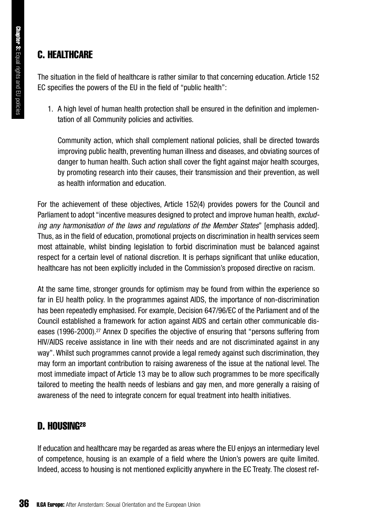#### C. HEALTHCARE

The situation in the field of healthcare is rather similar to that concerning education. Article 152 EC specifies the powers of the EU in the field of "public health":

1. A high level of human health protection shall be ensured in the definition and implementation of all Community policies and activities.

Community action, which shall complement national policies, shall be directed towards improving public health, preventing human illness and diseases, and obviating sources of danger to human health. Such action shall cover the fight against major health scourges, by promoting research into their causes, their transmission and their prevention, as well as health information and education.

For the achievement of these objectives, Article 152(4) provides powers for the Council and Parliament to adopt "incentive measures designed to protect and improve human health, *excluding any harmonisation of the laws and regulations of the Member States*" [emphasis added]. Thus, as in the field of education, promotional projects on discrimination in health services seem most attainable, whilst binding legislation to forbid discrimination must be balanced against respect for a certain level of national discretion. It is perhaps significant that unlike education, healthcare has not been explicitly included in the Commission's proposed directive on racism.

At the same time, stronger grounds for optimism may be found from within the experience so far in EU health policy. In the programmes against AIDS, the importance of non-discrimination has been repeatedly emphasised. For example, Decision 647/96/EC of the Parliament and of the Council established a framework for action against AIDS and certain other communicable diseases (1996-2000).27 Annex D specifies the objective of ensuring that "persons suffering from HIV/AIDS receive assistance in line with their needs and are not discriminated against in any way". Whilst such programmes cannot provide a legal remedy against such discrimination, they may form an important contribution to raising awareness of the issue at the national level. The most immediate impact of Article 13 may be to allow such programmes to be more specifically tailored to meeting the health needs of lesbians and gay men, and more generally a raising of awareness of the need to integrate concern for equal treatment into health initiatives.

#### D. HOUSING28

If education and healthcare may be regarded as areas where the EU enjoys an intermediary level of competence, housing is an example of a field where the Union's powers are quite limited. Indeed, access to housing is not mentioned explicitly anywhere in the EC Treaty. The closest ref-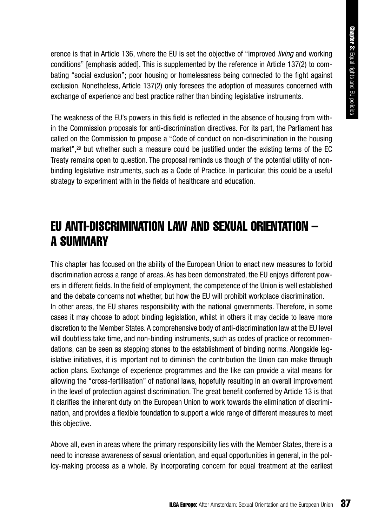erence is that in Article 136, where the EU is set the objective of "improved *living* and working conditions" [emphasis added]. This is supplemented by the reference in Article 137(2) to combating "social exclusion"; poor housing or homelessness being connected to the fight against exclusion. Nonetheless, Article 137(2) only foresees the adoption of measures concerned with exchange of experience and best practice rather than binding legislative instruments.

The weakness of the EU's powers in this field is reflected in the absence of housing from within the Commission proposals for anti-discrimination directives. For its part, the Parliament has called on the Commission to propose a "Code of conduct on non-discrimination in the housing market",<sup>29</sup> but whether such a measure could be justified under the existing terms of the EC Treaty remains open to question. The proposal reminds us though of the potential utility of nonbinding legislative instruments, such as a Code of Practice. In particular, this could be a useful strategy to experiment with in the fields of healthcare and education.

## EU ANTI-DISCRIMINATION LAW AND SEXUAL ORIENTATION – A SUMMARY

This chapter has focused on the ability of the European Union to enact new measures to forbid discrimination across a range of areas. As has been demonstrated, the EU enjoys different powers in different fields. In the field of employment, the competence of the Union is well established and the debate concerns not whether, but how the EU will prohibit workplace discrimination. In other areas, the EU shares responsibility with the national governments. Therefore, in some cases it may choose to adopt binding legislation, whilst in others it may decide to leave more discretion to the Member States. A comprehensive body of anti-discrimination law at the EU level will doubtless take time, and non-binding instruments, such as codes of practice or recommendations, can be seen as stepping stones to the establishment of binding norms. Alongside legislative initiatives, it is important not to diminish the contribution the Union can make through action plans. Exchange of experience programmes and the like can provide a vital means for allowing the "cross-fertilisation" of national laws, hopefully resulting in an overall improvement in the level of protection against discrimination. The great benefit conferred by Article 13 is that it clarifies the inherent duty on the European Union to work towards the elimination of discrimination, and provides a flexible foundation to support a wide range of different measures to meet this objective.

Above all, even in areas where the primary responsibility lies with the Member States, there is a need to increase awareness of sexual orientation, and equal opportunities in general, in the policy-making process as a whole. By incorporating concern for equal treatment at the earliest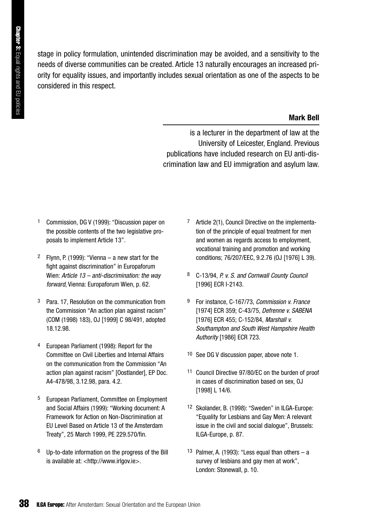stage in policy formulation, unintended discrimination may be avoided, and a sensitivity to the needs of diverse communities can be created. Article 13 naturally encourages an increased priority for equality issues, and importantly includes sexual orientation as one of the aspects to be considered in this respect.

### **Mark Bell**

is a lecturer in the department of law at the University of Leicester, England. Previous publications have included research on EU anti-discrimination law and EU immigration and asylum law.

- 1 Commission, DG V (1999): "Discussion paper on the possible contents of the two legislative proposals to implement Article 13".
- <sup>2</sup> Flynn, P. (1999): "Vienna a new start for the fight against discrimination" in Europaforum Wien: *Article 13 – anti-discrimination: the way forward*, Vienna: Europaforum Wien, p. 62.
- 3 Para. 17, Resolution on the communication from the Commission "An action plan against racism" (COM (1998) 183), OJ [1999] C 98/491, adopted 18.12.98.
- 4 European Parliament (1998): Report for the Committee on Civil Liberties and Internal Affairs on the communication from the Commission "An action plan against racism" [Oostlander], EP Doc. A4-478/98, 3.12.98, para. 4.2.
- 5 European Parliament, Committee on Employment and Social Affairs (1999): "Working document: A Framework for Action on Non-Discrimination at EU Level Based on Article 13 of the Amsterdam Treaty", 25 March 1999, PE 229.570/fin.
- 6 Up-to-date information on the progress of the Bill is available at: <http://www.irlgov.ie>.
- 7 Article 2(1), Council Directive on the implementation of the principle of equal treatment for men and women as regards access to employment, vocational training and promotion and working conditions; 76/207/EEC, 9.2.76 (OJ [1976] L 39).
- 8 C-13/94, *P. v. S. and Cornwall County Council* [1996] ECR I-2143.
- 9 For instance, C-167/73, *Commission v. France* [1974] ECR 359; C-43/75, *Defrenne v. SABENA* [1976] ECR 455; C-152/84, *Marshall v. Southampton and South West Hampshire Health Authority* [1986] ECR 723.
- 10 See DG V discussion paper, above note 1.
- 11 Council Directive 97/80/EC on the burden of proof in cases of discrimination based on sex, OJ [1998] L 14/6.
- 12 Skolander, B. (1998): "Sweden" in ILGA-Europe: "Equality for Lesbians and Gay Men: A relevant issue in the civil and social dialogue", Brussels: ILGA-Europe, p. 87.
- <sup>13</sup> Palmer, A. (1993): "Less equal than others  $-$  a survey of lesbians and gay men at work", London: Stonewall, p. 10.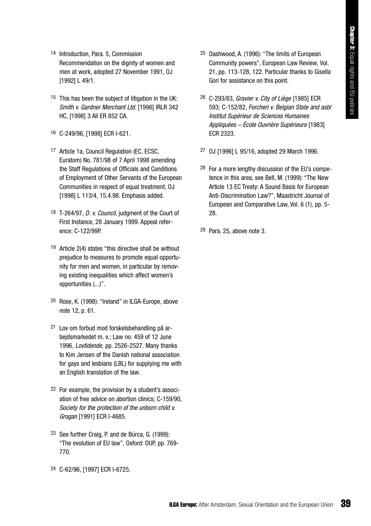- 14 Introduction, Para. 5, Commission Recommendation on the dignity of women and men at work, adopted 27 November 1991, OJ [1992] L 49/1.
- 15 This has been the subject of litigation in the UK: *Smith v. Gardner Merchant Ltd.* [1996] IRLR 342 HC, [1998] 3 All ER 852 CA.
- 16 C-249/96, [1998] ECR I-621.
- 17 Article 1a, Council Regulation (EC, ECSC, Euratom) No. 781/98 of 7 April 1998 amending the Staff Regulations of Officials and Conditions of Employment of Other Servants of the European Communities in respect of equal treatment, OJ [1998] L 113/4, 15.4.98. Emphasis added.
- 18 T-264/97, *D. v. Council*, judgment of the Court of First Instance, 28 January 1999. Appeal reference: C-122/99P.
- 19 Article 2(4) states "this directive shall be without prejudice to measures to promote equal opportunity for men and women, in particular by removing existing inequalities which affect women's opportunities (...)".
- 20 Rose, K. (1998): "Ireland" in ILGA-Europe, above note 12, p. 61.
- 21 Lov om forbud mod forskelsbehandling på arbejdsmarkedet m. v.; Law no. 459 of 12 June 1996, *Lovtidende,* pp. 2526-2527. Many thanks to Kim Jensen of the Danish national association for gays and lesbians (LBL) for supplying me with an English translation of the law.
- 22 For example, the provision by a student's association of free advice on abortion clinics; C-159/90, *Society for the protection of the unborn child v. Grogan* [1991] ECR I-4685.
- 23 See further Craig, P. and de Búrca, G. (1999): "The evolution of EU law", Oxford: OUP, pp. 769- 770.
- 24 C-62/96, [1997] ECR I-6725.
- 25 Dashwood, A. (1996): "The limits of European Community powers", European Law Review, Vol. 21, pp. 113-128, 122. Particular thanks to Gisella Gori for assistance on this point.
- 26 C-293/83, *Gravier v. City of Liège* [1985] ECR 593; C-152/82, *Forcheri v. Belgian State and asbl Institut Supérieur de Sciences Humaines Appliquées – École Ouvrière Supérieure* [1983] ECR 2323.
- 27 OJ [1996] L 95/16, adopted 29 March 1996.
- 28 For a more lengthy discussion of the EU's competence in this area, see Bell, M. (1999): "The New Article 13 EC Treaty: A Sound Basis for European Anti-Discrimination Law?", Maastricht Journal of European and Comparative Law, Vol. 6 (1), pp. 5- 28.
- 29 Para. 25, above note 3.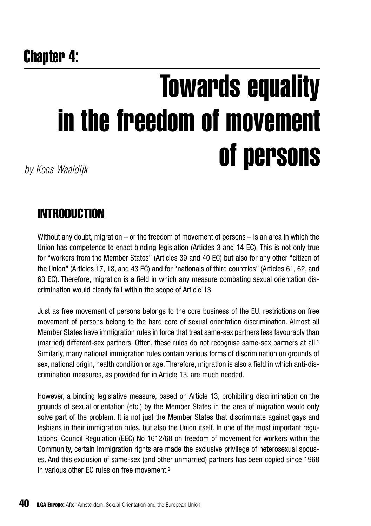## Chapter 4:

# Towards equality in the freedom of movement of persons *by Kees Waaldijk*

## **INTRODUCTION**

Without any doubt, migration – or the freedom of movement of persons – is an area in which the Union has competence to enact binding legislation (Articles 3 and 14 EC). This is not only true for "workers from the Member States" (Articles 39 and 40 EC) but also for any other "citizen of the Union" (Articles 17, 18, and 43 EC) and for "nationals of third countries" (Articles 61, 62, and 63 EC). Therefore, migration is a field in which any measure combating sexual orientation discrimination would clearly fall within the scope of Article 13.

Just as free movement of persons belongs to the core business of the EU, restrictions on free movement of persons belong to the hard core of sexual orientation discrimination. Almost all Member States have immigration rules in force that treat same-sex partners less favourably than (married) different-sex partners. Often, these rules do not recognise same-sex partners at all.1 Similarly, many national immigration rules contain various forms of discrimination on grounds of sex, national origin, health condition or age. Therefore, migration is also a field in which anti-discrimination measures, as provided for in Article 13, are much needed.

However, a binding legislative measure, based on Article 13, prohibiting discrimination on the grounds of sexual orientation (etc.) by the Member States in the area of migration would only solve part of the problem. It is not just the Member States that discriminate against gays and lesbians in their immigration rules, but also the Union itself. In one of the most important regulations, Council Regulation (EEC) No 1612/68 on freedom of movement for workers within the Community, certain immigration rights are made the exclusive privilege of heterosexual spouses. And this exclusion of same-sex (and other unmarried) partners has been copied since 1968 in various other EC rules on free movement.2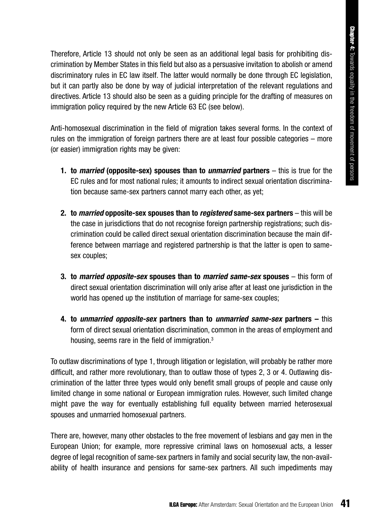Therefore, Article 13 should not only be seen as an additional legal basis for prohibiting discrimination by Member States in this field but also as a persuasive invitation to abolish or amend discriminatory rules in EC law itself. The latter would normally be done through EC legislation, but it can partly also be done by way of judicial interpretation of the relevant regulations and directives. Article 13 should also be seen as a guiding principle for the drafting of measures on immigration policy required by the new Article 63 EC (see below).

Anti-homosexual discrimination in the field of migration takes several forms. In the context of rules on the immigration of foreign partners there are at least four possible categories – more (or easier) immigration rights may be given:

- **1. to** *married* **(opposite-sex) spouses than to** *unmarried* **partners**  this is true for the EC rules and for most national rules; it amounts to indirect sexual orientation discrimination because same-sex partners cannot marry each other, as yet;
- **2. to** *married* **opposite-sex spouses than to** *registered* **same-sex partners** this will be the case in jurisdictions that do not recognise foreign partnership registrations; such discrimination could be called direct sexual orientation discrimination because the main difference between marriage and registered partnership is that the latter is open to samesex couples;
- **3. to** *married opposite-sex* **spouses than to** *married same-sex* **spouses**  this form of direct sexual orientation discrimination will only arise after at least one jurisdiction in the world has opened up the institution of marriage for same-sex couples;
- **4. to** *unmarried opposite-sex* **partners than to** *unmarried same-sex* **partners** this form of direct sexual orientation discrimination, common in the areas of employment and housing, seems rare in the field of immigration.3

To outlaw discriminations of type 1, through litigation or legislation, will probably be rather more difficult, and rather more revolutionary, than to outlaw those of types 2, 3 or 4. Outlawing discrimination of the latter three types would only benefit small groups of people and cause only limited change in some national or European immigration rules. However, such limited change might pave the way for eventually establishing full equality between married heterosexual spouses and unmarried homosexual partners.

There are, however, many other obstacles to the free movement of lesbians and gay men in the European Union; for example, more repressive criminal laws on homosexual acts, a lesser degree of legal recognition of same-sex partners in family and social security law, the non-availability of health insurance and pensions for same-sex partners. All such impediments may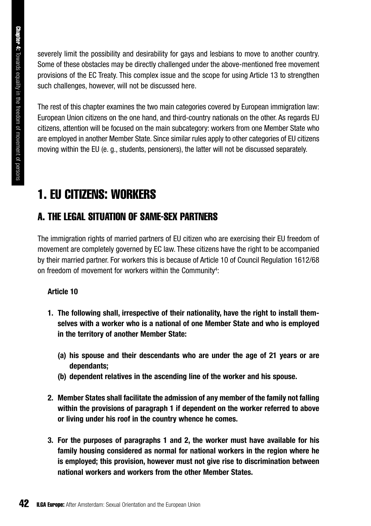severely limit the possibility and desirability for gays and lesbians to move to another country. Some of these obstacles may be directly challenged under the above-mentioned free movement provisions of the EC Treaty. This complex issue and the scope for using Article 13 to strengthen such challenges, however, will not be discussed here.

The rest of this chapter examines the two main categories covered by European immigration law: European Union citizens on the one hand, and third-country nationals on the other. As regards EU citizens, attention will be focused on the main subcategory: workers from one Member State who are employed in another Member State. Since similar rules apply to other categories of EU citizens moving within the EU (e. g., students, pensioners), the latter will not be discussed separately.

## 1. EU CITIZENS: WORKERS

### A. THE LEGAL SITUATION OF SAME-SEX PARTNERS

The immigration rights of married partners of EU citizen who are exercising their EU freedom of movement are completely governed by EC law. These citizens have the right to be accompanied by their married partner. For workers this is because of Article 10 of Council Regulation 1612/68 on freedom of movement for workers within the Community4:

### **Article 10**

- **1. The following shall, irrespective of their nationality, have the right to install themselves with a worker who is a national of one Member State and who is employed in the territory of another Member State:**
	- **(a) his spouse and their descendants who are under the age of 21 years or are dependants;**
	- **(b) dependent relatives in the ascending line of the worker and his spouse.**
- **2. Member States shall facilitate the admission of any member of the family not falling within the provisions of paragraph 1 if dependent on the worker referred to above or living under his roof in the country whence he comes.**
- **3. For the purposes of paragraphs 1 and 2, the worker must have available for his family housing considered as normal for national workers in the region where he is employed; this provision, however must not give rise to discrimination between national workers and workers from the other Member States.**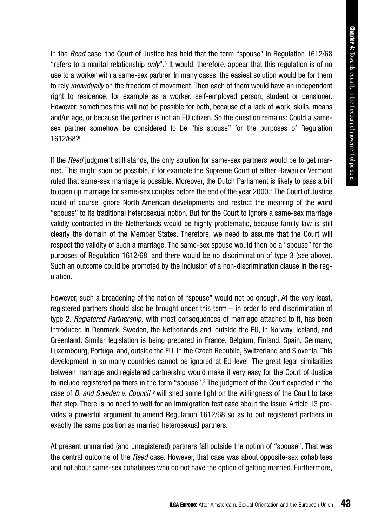In the *Reed* case, the Court of Justice has held that the term "spouse" in Regulation 1612/68 "refers to a marital relationship *only*".5 It would, therefore, appear that this regulation is of no use to a worker with a same-sex partner. In many cases, the easiest solution would be for them to rely *individually* on the freedom of movement. Then each of them would have an independent right to residence, for example as a worker, self-employed person, student or pensioner. However, sometimes this will not be possible for both, because of a lack of work, skills, means and/or age, or because the partner is not an EU citizen. So the question remains: Could a samesex partner somehow be considered to be "his spouse" for the purposes of Regulation 1612/68?6

If the *Reed* judgment still stands, the only solution for same-sex partners would be to get married. This might soon be possible, if for example the Supreme Court of either Hawaii or Vermont ruled that same-sex marriage is possible. Moreover, the Dutch Parliament is likely to pass a bill to open up marriage for same-sex couples before the end of the year 2000.7 The Court of Justice could of course ignore North American developments and restrict the meaning of the word "spouse" to its traditional heterosexual notion. But for the Court to ignore a same-sex marriage validly contracted in the Netherlands would be highly problematic, because family law is still clearly the domain of the Member States. Therefore, we need to assume that the Court will respect the validity of such a marriage. The same-sex spouse would then be a "spouse" for the purposes of Regulation 1612/68, and there would be no discrimination of type 3 (see above). Such an outcome could be promoted by the inclusion of a non-discrimination clause in the regulation.

However, such a broadening of the notion of "spouse" would not be enough. At the very least, registered partners should also be brought under this term – in order to end discrimination of type 2. *Registered Partnership,* with most consequences of marriage attached to it, has been introduced in Denmark, Sweden, the Netherlands and, outside the EU, in Norway, Iceland, and Greenland. Similar legislation is being prepared in France, Belgium, Finland, Spain, Germany, Luxembourg, Portugal and, outside the EU, in the Czech Republic, Switzerland and Slovenia. This development in so many countries cannot be ignored at EU level. The great legal similarities between marriage and registered partnership would make it very easy for the Court of Justice to include registered partners in the term "spouse".<sup>8</sup> The judgment of the Court expected in the case of *D. and Sweden v. Council 9* will shed some light on the willingness of the Court to take that step. There is no need to wait for an immigration test case about the issue: Article 13 provides a powerful argument to amend Regulation 1612/68 so as to put registered partners in exactly the same position as married heterosexual partners.

At present unmarried (and unregistered) partners fall outside the notion of "spouse". That was the central outcome of the *Reed* case. However, that case was about opposite-sex cohabitees and not about same-sex cohabitees who do not have the option of getting married. Furthermore,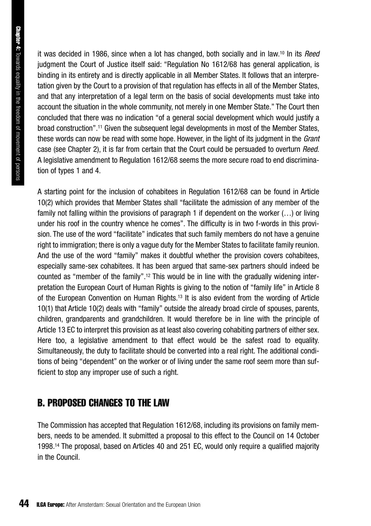it was decided in 1986, since when a lot has changed, both socially and in law.10 In its *Reed* judgment the Court of Justice itself said: "Regulation No 1612/68 has general application, is binding in its entirety and is directly applicable in all Member States. It follows that an interpretation given by the Court to a provision of that regulation has effects in all of the Member States, and that any interpretation of a legal term on the basis of social developments must take into account the situation in the whole community, not merely in one Member State." The Court then concluded that there was no indication "of a general social development which would justify a broad construction".11 Given the subsequent legal developments in most of the Member States, these words can now be read with some hope. However, in the light of its judgment in the *Grant* case (see Chapter 2), it is far from certain that the Court could be persuaded to overturn *Reed*. A legislative amendment to Regulation 1612/68 seems the more secure road to end discrimination of types 1 and 4.

A starting point for the inclusion of cohabitees in Regulation 1612/68 can be found in Article 10(2) which provides that Member States shall "facilitate the admission of any member of the family not falling within the provisions of paragraph 1 if dependent on the worker (…) or living under his roof in the country whence he comes". The difficulty is in two f-words in this provision. The use of the word "facilitate" indicates that such family members do not have a genuine right to immigration; there is only a vague duty for the Member States to facilitate family reunion. And the use of the word "family" makes it doubtful whether the provision covers cohabitees, especially same-sex cohabitees. It has been argued that same-sex partners should indeed be counted as "member of the family".12 This would be in line with the gradually widening interpretation the European Court of Human Rights is giving to the notion of "family life" in Article 8 of the European Convention on Human Rights.13 It is also evident from the wording of Article 10(1) that Article 10(2) deals with "family" outside the already broad circle of spouses, parents, children, grandparents and grandchildren. It would therefore be in line with the principle of Article 13 EC to interpret this provision as at least also covering cohabiting partners of either sex. Here too, a legislative amendment to that effect would be the safest road to equality. Simultaneously, the duty to facilitate should be converted into a real right. The additional conditions of being "dependent" on the worker or of living under the same roof seem more than sufficient to stop any improper use of such a right.

### B. PROPOSED CHANGES TO THE LAW

The Commission has accepted that Regulation 1612/68, including its provisions on family members, needs to be amended. It submitted a proposal to this effect to the Council on 14 October 1998.14 The proposal, based on Articles 40 and 251 EC, would only require a qualified majority in the Council.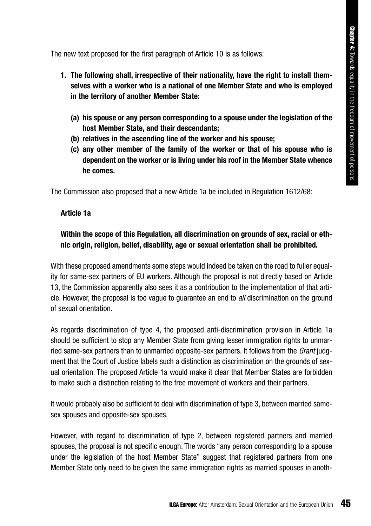The new text proposed for the first paragraph of Article 10 is as follows:

- **1. The following shall, irrespective of their nationality, have the right to install themselves with a worker who is a national of one Member State and who is employed in the territory of another Member State:** 
	- **(a) his spouse or any person corresponding to a spouse under the legislation of the host Member State, and their descendants;**
	- **(b) relatives in the ascending line of the worker and his spouse;**
	- **(c) any other member of the family of the worker or that of his spouse who is dependent on the worker or is living under his roof in the Member State whence he comes.**

The Commission also proposed that a new Article 1a be included in Regulation 1612/68:

### **Article 1a**

### **Within the scope of this Regulation, all discrimination on grounds of sex, racial or ethnic origin, religion, belief, disability, age or sexual orientation shall be prohibited.**

With these proposed amendments some steps would indeed be taken on the road to fuller equality for same-sex partners of EU workers. Although the proposal is not directly based on Article 13, the Commission apparently also sees it as a contribution to the implementation of that article. However, the proposal is too vague to guarantee an end to *all* discrimination on the ground of sexual orientation.

As regards discrimination of type 4, the proposed anti-discrimination provision in Article 1a should be sufficient to stop any Member State from giving lesser immigration rights to unmarried same-sex partners than to unmarried opposite-sex partners. It follows from the *Grant* judgment that the Court of Justice labels such a distinction as discrimination on the grounds of sexual orientation. The proposed Article 1a would make it clear that Member States are forbidden to make such a distinction relating to the free movement of workers and their partners.

It would probably also be sufficient to deal with discrimination of type 3, between married samesex spouses and opposite-sex spouses.

However, with regard to discrimination of type 2, between registered partners and married spouses, the proposal is not specific enough. The words "any person corresponding to a spouse under the legislation of the host Member State" suggest that registered partners from one Member State only need to be given the same immigration rights as married spouses in anoth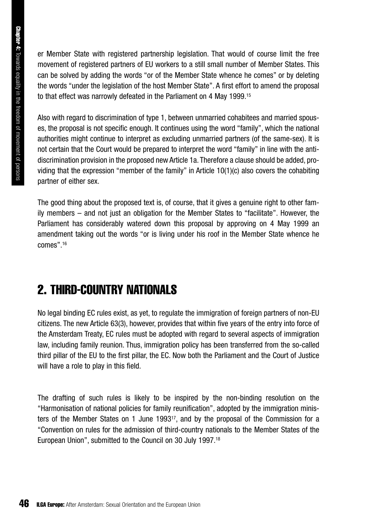**Chapter 4:** Towards equality in the freedom of movement of persons Towards equality in the freedom of movement of persons

er Member State with registered partnership legislation. That would of course limit the free movement of registered partners of EU workers to a still small number of Member States. This can be solved by adding the words "or of the Member State whence he comes" or by deleting the words "under the legislation of the host Member State". A first effort to amend the proposal to that effect was narrowly defeated in the Parliament on 4 May 1999.15

Also with regard to discrimination of type 1, between unmarried cohabitees and married spouses, the proposal is not specific enough. It continues using the word "family", which the national authorities might continue to interpret as excluding unmarried partners (of the same-sex). It is not certain that the Court would be prepared to interpret the word "family" in line with the antidiscrimination provision in the proposed new Article 1a. Therefore a clause should be added, providing that the expression "member of the family" in Article 10(1)(c) also covers the cohabiting partner of either sex.

The good thing about the proposed text is, of course, that it gives a genuine right to other family members – and not just an obligation for the Member States to "facilitate". However, the Parliament has considerably watered down this proposal by approving on 4 May 1999 an amendment taking out the words "or is living under his roof in the Member State whence he comes".16

## 2. THIRD-COUNTRY NATIONALS

No legal binding EC rules exist, as yet, to regulate the immigration of foreign partners of non-EU citizens. The new Article 63(3), however, provides that within five years of the entry into force of the Amsterdam Treaty, EC rules must be adopted with regard to several aspects of immigration law, including family reunion. Thus, immigration policy has been transferred from the so-called third pillar of the EU to the first pillar, the EC. Now both the Parliament and the Court of Justice will have a role to play in this field.

The drafting of such rules is likely to be inspired by the non-binding resolution on the "Harmonisation of national policies for family reunification", adopted by the immigration ministers of the Member States on 1 June 199317, and by the proposal of the Commission for a "Convention on rules for the admission of third-country nationals to the Member States of the European Union", submitted to the Council on 30 July 1997.18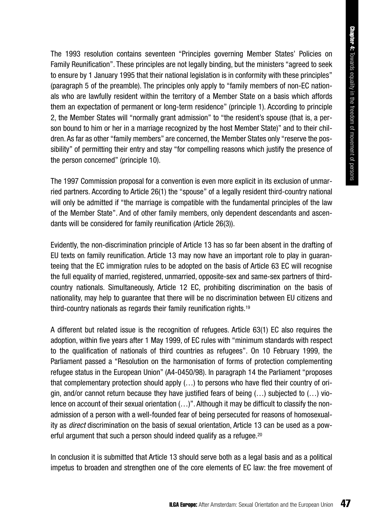The 1993 resolution contains seventeen "Principles governing Member States' Policies on Family Reunification". These principles are not legally binding, but the ministers "agreed to seek to ensure by 1 January 1995 that their national legislation is in conformity with these principles" (paragraph 5 of the preamble). The principles only apply to "family members of non-EC nationals who are lawfully resident within the territory of a Member State on a basis which affords them an expectation of permanent or long-term residence" (principle 1). According to principle 2, the Member States will "normally grant admission" to "the resident's spouse (that is, a person bound to him or her in a marriage recognized by the host Member State)" and to their children. As far as other "family members" are concerned, the Member States only "reserve the possibility" of permitting their entry and stay "for compelling reasons which justify the presence of the person concerned" (principle 10).

The 1997 Commission proposal for a convention is even more explicit in its exclusion of unmarried partners. According to Article 26(1) the "spouse" of a legally resident third-country national will only be admitted if "the marriage is compatible with the fundamental principles of the law of the Member State". And of other family members, only dependent descendants and ascendants will be considered for family reunification (Article 26(3)).

Evidently, the non-discrimination principle of Article 13 has so far been absent in the drafting of EU texts on family reunification. Article 13 may now have an important role to play in guaranteeing that the EC immigration rules to be adopted on the basis of Article 63 EC will recognise the full equality of married, registered, unmarried, opposite-sex and same-sex partners of thirdcountry nationals. Simultaneously, Article 12 EC, prohibiting discrimination on the basis of nationality, may help to guarantee that there will be no discrimination between EU citizens and third-country nationals as regards their family reunification rights.19

A different but related issue is the recognition of refugees. Article 63(1) EC also requires the adoption, within five years after 1 May 1999, of EC rules with "minimum standards with respect to the qualification of nationals of third countries as refugees". On 10 February 1999, the Parliament passed a "Resolution on the harmonisation of forms of protection complementing refugee status in the European Union" (A4-0450/98). In paragraph 14 the Parliament "proposes that complementary protection should apply (…) to persons who have fled their country of origin, and/or cannot return because they have justified fears of being  $(\ldots)$  subjected to  $(\ldots)$  violence on account of their sexual orientation (...)". Although it may be difficult to classify the nonadmission of a person with a well-founded fear of being persecuted for reasons of homosexuality as *direct* discrimination on the basis of sexual orientation, Article 13 can be used as a powerful argument that such a person should indeed qualify as a refugee.<sup>20</sup>

In conclusion it is submitted that Article 13 should serve both as a legal basis and as a political impetus to broaden and strengthen one of the core elements of EC law: the free movement of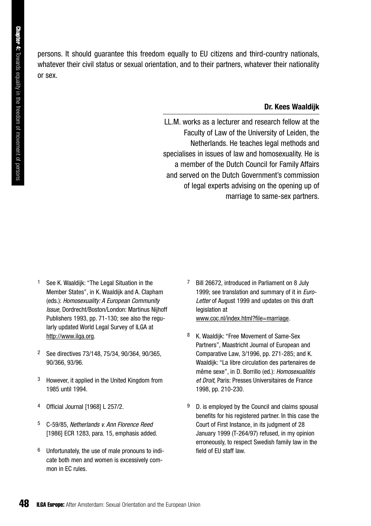persons. It should guarantee this freedom equally to EU citizens and third-country nationals, whatever their civil status or sexual orientation, and to their partners, whatever their nationality or sex.

### **Dr. Kees Waaldijk**

LL.M. works as a lecturer and research fellow at the Faculty of Law of the University of Leiden, the Netherlands. He teaches legal methods and specialises in issues of law and homosexuality. He is a member of the Dutch Council for Family Affairs and served on the Dutch Government's commission of legal experts advising on the opening up of marriage to same-sex partners.

- See K. Waaldijk: "The Legal Situation in the Member States", in K. Waaldijk and A. Clapham (eds.): *Homosexuality: A European Community Issue*, Dordrecht/Boston/London: Martinus Nijhoff Publishers 1993, pp. 71-130; see also the regularly updated World Legal Survey of ILGA at http://www.ilga.org.
- 2 See directives 73/148, 75/34, 90/364, 90/365, 90/366, 93/96.
- 3 However, it applied in the United Kingdom from 1985 until 1994.
- 4 Official Journal [1968] L 257/2.
- 5 C-59/85, *Netherlands v. Ann Florence Reed* [1986] ECR 1283, para. 15, emphasis added.
- 6 Unfortunately, the use of male pronouns to indicate both men and women is excessively common in EC rules.
- Bill 26672, introduced in Parliament on 8 July 1999; see translation and summary of it in *Euro-Letter* of August 1999 and updates on this draft legislation at www.coc.nl/index.html?file=marriage.
- K. Waaldijk: "Free Movement of Same-Sex Partners", Maastricht Journal of European and Comparative Law, 3/1996, pp. 271-285; and K. Waaldijk: "La libre circulation des partenaires de même sexe", in D. Borrillo (ed.): *Homosexualités et Droit*, Paris: Presses Universitaires de France 1998, pp. 210-230.
- 9 D. is employed by the Council and claims spousal benefits for his registered partner. In this case the Court of First Instance, in its judgment of 28 January 1999 (T-264/97) refused, in my opinion erroneously, to respect Swedish family law in the field of EU staff law.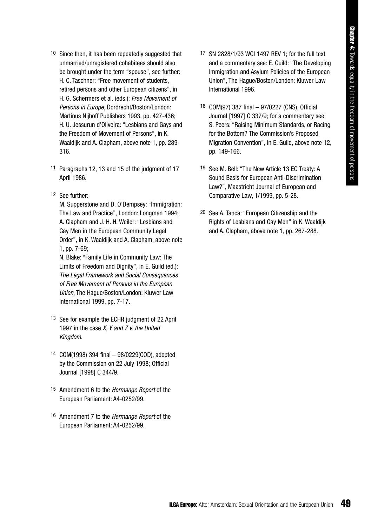- 10 Since then, it has been repeatedly suggested that unmarried/unregistered cohabitees should also be brought under the term "spouse", see further: H. C. Taschner: "Free movement of students, retired persons and other European citizens", in H. G. Schermers et al. (eds.): *Free Movement of Persons in Europe*, Dordrecht/Boston/London: Martinus Nijhoff Publishers 1993, pp. 427-436; H. U. Jessurun d'Oliveira: "Lesbians and Gays and the Freedom of Movement of Persons", in K. Waaldijk and A. Clapham, above note 1, pp. 289- 316.
- 11 Paragraphs 12, 13 and 15 of the judgment of 17 April 1986.
- 12 See further:

M. Supperstone and D. O'Dempsey: "Immigration: The Law and Practice", London: Longman 1994; A. Clapham and J. H. H. Weiler: "Lesbians and Gay Men in the European Community Legal Order", in K. Waaldijk and A. Clapham, above note 1, pp. 7-69;

N. Blake: "Family Life in Community Law: The Limits of Freedom and Dignity", in E. Guild (ed.): *The Legal Framework and Social Consequences of Free Movement of Persons in the European Union*, The Hague/Boston/London: Kluwer Law International 1999, pp. 7-17.

- 13 See for example the ECHR judgment of 22 April 1997 in the case *X, Y and Z v. the United Kingdom*.
- 14 COM(1998) 394 final 98/0229(COD), adopted by the Commission on 22 July 1998; Official Journal [1998] C 344/9.
- 15 Amendment 6 to the *Hermange Report* of the European Parliament: A4-0252/99.
- 16 Amendment 7 to the *Hermange Report* of the European Parliament: A4-0252/99.
- 17 SN 2828/1/93 WGI 1497 REV 1; for the full text and a commentary see: E. Guild: "The Developing Immigration and Asylum Policies of the European Union", The Hague/Boston/London: Kluwer Law International 1996.
- 18 COM(97) 387 final 97/0227 (CNS), Official Journal [1997] C 337/9; for a commentary see: S. Peers: "Raising Minimum Standards, or Racing for the Bottom? The Commission's Proposed Migration Convention", in E. Guild, above note 12, pp. 149-166.
- 19 See M. Bell: "The New Article 13 EC Treaty: A Sound Basis for European Anti-Discrimination Law?", Maastricht Journal of European and Comparative Law, 1/1999, pp. 5-28.
- 20 See A. Tanca: "European Citizenship and the Rights of Lesbians and Gay Men" in K. Waaldijk and A. Clapham, above note 1, pp. 267-288.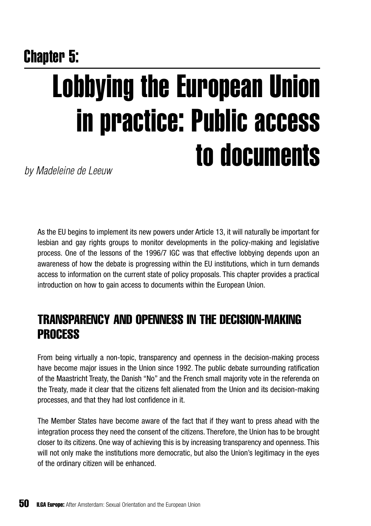# Chapter 5: Lobbying the European Union in practice: Public access to documents

*by Madeleine de Leeuw*

As the EU begins to implement its new powers under Article 13, it will naturally be important for lesbian and gay rights groups to monitor developments in the policy-making and legislative process. One of the lessons of the 1996/7 IGC was that effective lobbying depends upon an awareness of how the debate is progressing within the EU institutions, which in turn demands access to information on the current state of policy proposals. This chapter provides a practical introduction on how to gain access to documents within the European Union.

## TRANSPARENCY AND OPENNESS IN THE DECISION-MAKING PROCESS

From being virtually a non-topic, transparency and openness in the decision-making process have become major issues in the Union since 1992. The public debate surrounding ratification of the Maastricht Treaty, the Danish "No" and the French small majority vote in the referenda on the Treaty, made it clear that the citizens felt alienated from the Union and its decision-making processes, and that they had lost confidence in it.

The Member States have become aware of the fact that if they want to press ahead with the integration process they need the consent of the citizens. Therefore, the Union has to be brought closer to its citizens. One way of achieving this is by increasing transparency and openness. This will not only make the institutions more democratic, but also the Union's legitimacy in the eyes of the ordinary citizen will be enhanced.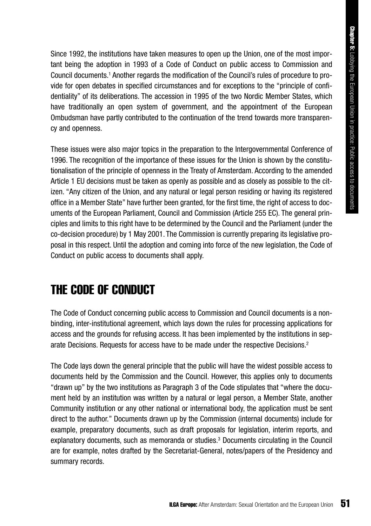Since 1992, the institutions have taken measures to open up the Union, one of the most important being the adoption in 1993 of a Code of Conduct on public access to Commission and Council documents.1 Another regards the modification of the Council's rules of procedure to provide for open debates in specified circumstances and for exceptions to the "principle of confidentiality" of its deliberations. The accession in 1995 of the two Nordic Member States, which have traditionally an open system of government, and the appointment of the European Ombudsman have partly contributed to the continuation of the trend towards more transparency and openness.

These issues were also major topics in the preparation to the Intergovernmental Conference of 1996. The recognition of the importance of these issues for the Union is shown by the constitutionalisation of the principle of openness in the Treaty of Amsterdam. According to the amended Article 1 EU decisions must be taken as openly as possible and as closely as possible to the citizen. "Any citizen of the Union, and any natural or legal person residing or having its registered office in a Member State" have further been granted, for the first time, the right of access to documents of the European Parliament, Council and Commission (Article 255 EC). The general principles and limits to this right have to be determined by the Council and the Parliament (under the co-decision procedure) by 1 May 2001. The Commission is currently preparing its legislative proposal in this respect. Until the adoption and coming into force of the new legislation, the Code of Conduct on public access to documents shall apply.

## THE CODE OF CONDUCT

The Code of Conduct concerning public access to Commission and Council documents is a nonbinding, inter-institutional agreement, which lays down the rules for processing applications for access and the grounds for refusing access. It has been implemented by the institutions in separate Decisions. Requests for access have to be made under the respective Decisions.2

The Code lays down the general principle that the public will have the widest possible access to documents held by the Commission and the Council. However, this applies only to documents "drawn up" by the two institutions as Paragraph 3 of the Code stipulates that "where the document held by an institution was written by a natural or legal person, a Member State, another Community institution or any other national or international body, the application must be sent direct to the author." Documents drawn up by the Commission (internal documents) include for example, preparatory documents, such as draft proposals for legislation, interim reports, and explanatory documents, such as memoranda or studies.3 Documents circulating in the Council are for example, notes drafted by the Secretariat-General, notes/papers of the Presidency and summary records.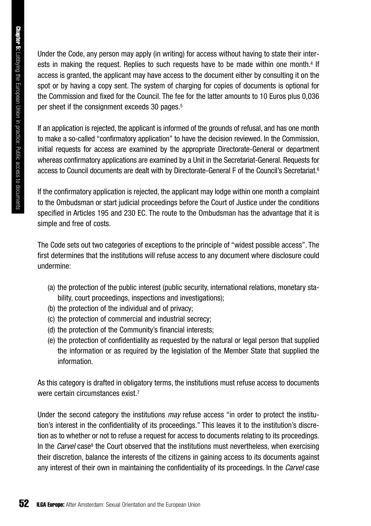Under the Code, any person may apply (in writing) for access without having to state their interests in making the request. Replies to such requests have to be made within one month.<sup>4</sup> If access is granted, the applicant may have access to the document either by consulting it on the spot or by having a copy sent. The system of charging for copies of documents is optional for the Commission and fixed for the Council. The fee for the latter amounts to 10 Euros plus 0,036 per sheet if the consignment exceeds 30 pages.5

If an application is rejected, the applicant is informed of the grounds of refusal, and has one month to make a so-called "confirmatory application" to have the decision reviewed. In the Commission, initial requests for access are examined by the appropriate Directorate-General or department whereas confirmatory applications are examined by a Unit in the Secretariat-General. Requests for access to Council documents are dealt with by Directorate-General F of the Council's Secretariat.6

If the confirmatory application is rejected, the applicant may lodge within one month a complaint to the Ombudsman or start judicial proceedings before the Court of Justice under the conditions specified in Articles 195 and 230 EC. The route to the Ombudsman has the advantage that it is simple and free of costs.

The Code sets out two categories of exceptions to the principle of "widest possible access". The first determines that the institutions will refuse access to any document where disclosure could undermine:

- (a) the protection of the public interest (public security, international relations, monetary stability, court proceedings, inspections and investigations);
- (b) the protection of the individual and of privacy;
- (c) the protection of commercial and industrial secrecy;
- (d) the protection of the Community's financial interests;
- (e) the protection of confidentiality as requested by the natural or legal person that supplied the information or as required by the legislation of the Member State that supplied the information.

As this category is drafted in obligatory terms, the institutions must refuse access to documents were certain circumstances exist.<sup>7</sup>

Under the second category the institutions *may* refuse access "in order to protect the institution's interest in the confidentiality of its proceedings." This leaves it to the institution's discretion as to whether or not to refuse a request for access to documents relating to its proceedings. In the *Carvel* case<sup>8</sup> the Court observed that the institutions must nevertheless, when exercising their discretion, balance the interests of the citizens in gaining access to its documents against any interest of their own in maintaining the confidentiality of its proceedings. In the *Carvel* case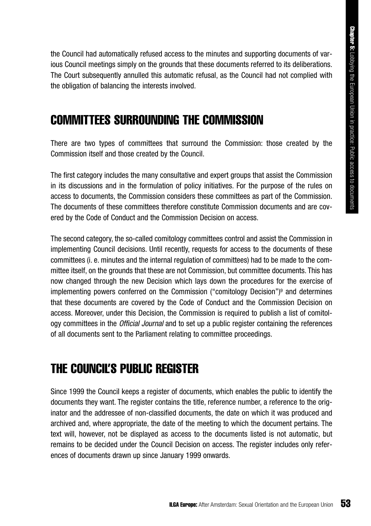the Council had automatically refused access to the minutes and supporting documents of various Council meetings simply on the grounds that these documents referred to its deliberations. The Court subsequently annulled this automatic refusal, as the Council had not complied with the obligation of balancing the interests involved.

### COMMITTEES SURROUNDING THE COMMISSION

There are two types of committees that surround the Commission: those created by the Commission itself and those created by the Council.

The first category includes the many consultative and expert groups that assist the Commission in its discussions and in the formulation of policy initiatives. For the purpose of the rules on access to documents, the Commission considers these committees as part of the Commission. The documents of these committees therefore constitute Commission documents and are covered by the Code of Conduct and the Commission Decision on access.

The second category, the so-called comitology committees control and assist the Commission in implementing Council decisions. Until recently, requests for access to the documents of these committees (i. e. minutes and the internal regulation of committees) had to be made to the committee itself, on the grounds that these are not Commission, but committee documents. This has now changed through the new Decision which lays down the procedures for the exercise of implementing powers conferred on the Commission ("comitology Decision")9 and determines that these documents are covered by the Code of Conduct and the Commission Decision on access. Moreover, under this Decision, the Commission is required to publish a list of comitology committees in the *Official Journal* and to set up a public register containing the references of all documents sent to the Parliament relating to committee proceedings.

## THE COUNCIL'S PUBLIC REGISTER

Since 1999 the Council keeps a register of documents, which enables the public to identify the documents they want. The register contains the title, reference number, a reference to the originator and the addressee of non-classified documents, the date on which it was produced and archived and, where appropriate, the date of the meeting to which the document pertains. The text will, however, not be displayed as access to the documents listed is not automatic, but remains to be decided under the Council Decision on access. The register includes only references of documents drawn up since January 1999 onwards.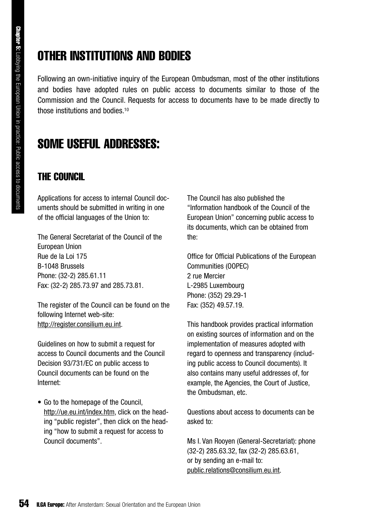## OTHER INSTITUTIONS AND BODIES

Following an own-initiative inquiry of the European Ombudsman, most of the other institutions and bodies have adopted rules on public access to documents similar to those of the Commission and the Council. Requests for access to documents have to be made directly to those institutions and bodies.<sup>10</sup>

## SOME USEFUL ADDRESSES:

### THE COUNCIL

Applications for access to internal Council documents should be submitted in writing in one of the official languages of the Union to:

The General Secretariat of the Council of the European Union Rue de la Loi 175 B-1048 Brussels Phone: (32-2) 285.61.11 Fax: (32-2) 285.73.97 and 285.73.81.

The register of the Council can be found on the following Internet web-site: http://register.consilium.eu.int.

Guidelines on how to submit a request for access to Council documents and the Council Decision 93/731/EC on public access to Council documents can be found on the Internet:

• Go to the homepage of the Council, http://ue.eu.int/index.htm, click on the heading "public register", then click on the heading "how to submit a request for access to Council documents".

The Council has also published the "Information handbook of the Council of the European Union" concerning public access to its documents, which can be obtained from the:

Office for Official Publications of the European Communities (OOPEC) 2 rue Mercier L-2985 Luxembourg Phone: (352) 29.29-1 Fax: (352) 49.57.19.

This handbook provides practical information on existing sources of information and on the implementation of measures adopted with regard to openness and transparency (including public access to Council documents). It also contains many useful addresses of, for example, the Agencies, the Court of Justice, the Ombudsman, etc.

Questions about access to documents can be asked to:

Ms I. Van Rooyen (General-Secretariat): phone (32-2) 285.63.32, fax (32-2) 285.63.61, or by sending an e-mail to: public.relations@consilium.eu.int.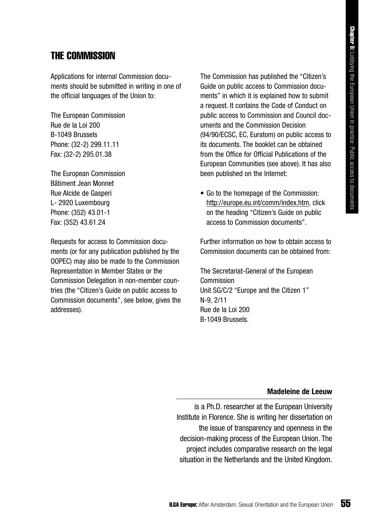### THE COMMISSION

Applications for internal Commission documents should be submitted in writing in one of the official languages of the Union to:

The European Commission Rue de la Loi 200 B-1049 Brussels Phone: (32-2) 299.11.11 Fax: (32-2) 295.01.38

The European Commission Bâtiment Jean Monnet Rue Alcide de Gasperi L- 2920 Luxembourg Phone: (352) 43.01-1 Fax: (352) 43.61.24

Requests for access to Commission documents (or for any publication published by the OOPEC) may also be made to the Commission Representation in Member States or the Commission Delegation in non-member countries (the "Citizen's Guide on public access to Commission documents", see below, gives the addresses).

The Commission has published the "Citizen's Guide on public access to Commission documents" in which it is explained how to submit a request. It contains the Code of Conduct on public access to Commission and Council documents and the Commission Decision (94/90/ECSC, EC, Euratom) on public access to its documents. The booklet can be obtained from the Office for Official Publications of the European Communities (see above). It has also been published on the Internet:

• Go to the homepage of the Commission: http://europe.eu.int/comm/index.htm, click on the heading "Citizen's Guide on public access to Commission documents".

Further information on how to obtain access to Commission documents can be obtained from:

The Secretariat-General of the European Commission Unit SG/C/2 "Europe and the Citizen 1" N-9, 2/11 Rue de la Loi 200 B-1049 Brussels.

#### **Madeleine de Leeuw**

is a Ph.D. researcher at the European University Institute in Florence. She is writing her dissertation on the issue of transparency and openness in the decision-making process of the European Union. The project includes comparative research on the legal situation in the Netherlands and the United Kingdom.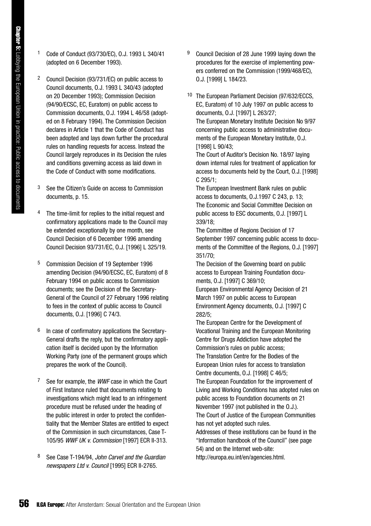- 1 Code of Conduct (93/730/EC), O.J. 1993 L 340/41 (adopted on 6 December 1993).
- 2 Council Decision (93/731/EC) on public access to Council documents, O.J. 1993 L 340/43 (adopted on 20 December 1993); Commission Decision (94/90/ECSC, EC, Euratom) on public access to Commission documents, O.J. 1994 L 46/58 (adopted on 8 February 1994). The Commission Decision declares in Article 1 that the Code of Conduct has been adopted and lays down further the procedural rules on handling requests for access. Instead the Council largely reproduces in its Decision the rules and conditions governing access as laid down in the Code of Conduct with some modifications.
- 3 See the Citizen's Guide on access to Commission documents, p. 15.
- 4 The time-limit for replies to the initial request and confirmatory applications made to the Council may be extended exceptionally by one month, see Council Decision of 6 December 1996 amending Council Decision 93/731/EC, O.J. [1996] L 325/19.
- 5 Commission Decision of 19 September 1996 amending Decision (94/90/ECSC, EC, Euratom) of 8 February 1994 on public access to Commission documents; see the Decision of the Secretary-General of the Council of 27 February 1996 relating to fees in the context of public access to Council documents, O.J. [1996] C 74/3.
- 6 In case of confirmatory applications the Secretary-General drafts the reply, but the confirmatory application itself is decided upon by the Information Working Party (one of the permanent groups which prepares the work of the Council).
- 7 See for example, the *WWF* case in which the Court of First Instance ruled that documents relating to investigations which might lead to an infringement procedure must be refused under the heading of the public interest in order to protect the confidentiality that the Member States are entitled to expect of the Commission in such circumstances, Case T-105/95 *WWF UK v. Commission* [1997] ECR II-313.
- 8 See Case T-194/94, *John Carvel and the Guardian newspapers Ltd v. Council* [1995] ECR II-2765.
- Council Decision of 28 June 1999 laying down the procedures for the exercise of implementing powers conferred on the Commission (1999/468/EC), O.J. [1999] L 184/23.
- 10 The European Parliament Decision (97/632/ECCS, EC, Euratom) of 10 July 1997 on public access to documents, O.J. [1997] L 263/27; The European Monetary Institute Decision No 9/97 concerning public access to administrative documents of the European Monetary Institute, O.J. [1998] L 90/43;

The Court of Auditor's Decision No. 18/97 laying down internal rules for treatment of application for access to documents held by the Court, O.J. [1998] C 295/1;

The European Investment Bank rules on public access to documents, O.J.1997 C 243, p. 13; The Economic and Social Committee Decision on public access to ESC documents, O.J. [1997] L 339/18;

The Committee of Regions Decision of 17 September 1997 concerning public access to documents of the Committee of the Regions, O.J. [1997] 351/70;

The Decision of the Governing board on public access to European Training Foundation documents, O.J. [1997] C 369/10;

European Environmental Agency Decision of 21 March 1997 on public access to European Environment Agency documents, O.J. [1997] C 282/5;

The European Centre for the Development of Vocational Training and the European Monitoring Centre for Drugs Addiction have adopted the Commission's rules on public access; The Translation Centre for the Bodies of the

European Union rules for access to translation Centre documents, O.J. [1998] C 46/5; The European Foundation for the improvement of

Living and Working Conditions has adopted rules on public access to Foundation documents on 21 November 1997 (not published in the O.J.). The Court of Justice of the European Communities has not yet adopted such rules.

Addresses of these institutions can be found in the "Information handbook of the Council" (see page 54) and on the Internet web-site:

http://europa.eu.int/en/agencies.html.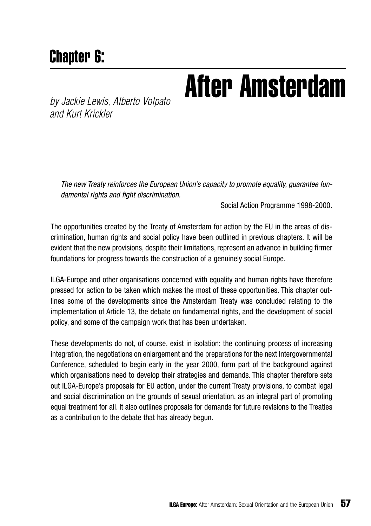## Chapter 6:

# **by Jackie Lewis, Alberto Volpato After Amsterdam**

*and Kurt Krickler*

*The new Treaty reinforces the European Union's capacity to promote equality, guarantee fundamental rights and fight discrimination.*

Social Action Programme 1998-2000.

The opportunities created by the Treaty of Amsterdam for action by the EU in the areas of discrimination, human rights and social policy have been outlined in previous chapters. It will be evident that the new provisions, despite their limitations, represent an advance in building firmer foundations for progress towards the construction of a genuinely social Europe.

ILGA-Europe and other organisations concerned with equality and human rights have therefore pressed for action to be taken which makes the most of these opportunities. This chapter outlines some of the developments since the Amsterdam Treaty was concluded relating to the implementation of Article 13, the debate on fundamental rights, and the development of social policy, and some of the campaign work that has been undertaken.

These developments do not, of course, exist in isolation: the continuing process of increasing integration, the negotiations on enlargement and the preparations for the next Intergovernmental Conference, scheduled to begin early in the year 2000, form part of the background against which organisations need to develop their strategies and demands. This chapter therefore sets out ILGA-Europe's proposals for EU action, under the current Treaty provisions, to combat legal and social discrimination on the grounds of sexual orientation, as an integral part of promoting equal treatment for all. It also outlines proposals for demands for future revisions to the Treaties as a contribution to the debate that has already begun.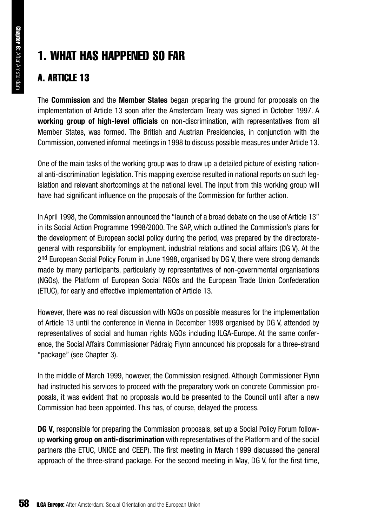## 1. WHAT HAS HAPPENED SO FAR

### A. ARTICLE 13

The **Commission** and the **Member States** began preparing the ground for proposals on the implementation of Article 13 soon after the Amsterdam Treaty was signed in October 1997. A **working group of high-level officials** on non-discrimination, with representatives from all Member States, was formed. The British and Austrian Presidencies, in conjunction with the Commission, convened informal meetings in 1998 to discuss possible measures under Article 13.

One of the main tasks of the working group was to draw up a detailed picture of existing national anti-discrimination legislation. This mapping exercise resulted in national reports on such legislation and relevant shortcomings at the national level. The input from this working group will have had significant influence on the proposals of the Commission for further action.

In April 1998, the Commission announced the "launch of a broad debate on the use of Article 13" in its Social Action Programme 1998/2000. The SAP, which outlined the Commission's plans for the development of European social policy during the period, was prepared by the directorategeneral with responsibility for employment, industrial relations and social affairs (DG V). At the 2nd European Social Policy Forum in June 1998, organised by DG V, there were strong demands made by many participants, particularly by representatives of non-governmental organisations (NGOs), the Platform of European Social NGOs and the European Trade Union Confederation (ETUC), for early and effective implementation of Article 13.

However, there was no real discussion with NGOs on possible measures for the implementation of Article 13 until the conference in Vienna in December 1998 organised by DG V, attended by representatives of social and human rights NGOs including ILGA-Europe. At the same conference, the Social Affairs Commissioner Pádraig Flynn announced his proposals for a three-strand "package" (see Chapter 3).

In the middle of March 1999, however, the Commission resigned. Although Commissioner Flynn had instructed his services to proceed with the preparatory work on concrete Commission proposals, it was evident that no proposals would be presented to the Council until after a new Commission had been appointed. This has, of course, delayed the process.

**DG V**, responsible for preparing the Commission proposals, set up a Social Policy Forum followup **working group on anti-discrimination** with representatives of the Platform and of the social partners (the ETUC, UNICE and CEEP). The first meeting in March 1999 discussed the general approach of the three-strand package. For the second meeting in May, DG V, for the first time,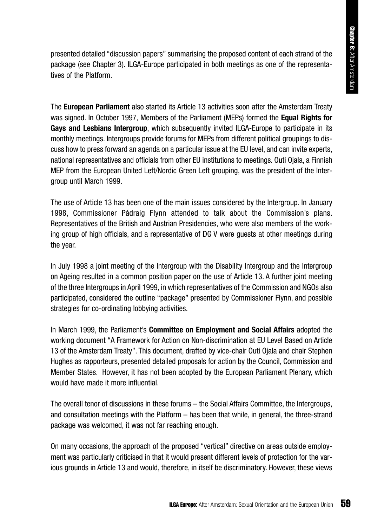presented detailed "discussion papers" summarising the proposed content of each strand of the package (see Chapter 3). ILGA-Europe participated in both meetings as one of the representatives of the Platform.

The **European Parliament** also started its Article 13 activities soon after the Amsterdam Treaty was signed. In October 1997, Members of the Parliament (MEPs) formed the **Equal Rights for Gays and Lesbians Intergroup**, which subsequently invited ILGA-Europe to participate in its monthly meetings. Intergroups provide forums for MEPs from different political groupings to discuss how to press forward an agenda on a particular issue at the EU level, and can invite experts, national representatives and officials from other EU institutions to meetings. Outi Ojala, a Finnish MEP from the European United Left/Nordic Green Left grouping, was the president of the Intergroup until March 1999. Immarising the proposed content of each strand of the<br>articipated in both meetings as one of the representa-<br>for the Parliament (MEPs) formed the Equal Rights for<br>subsequently invited ILGA-Europe to participate in its<br>subs

The use of Article 13 has been one of the main issues considered by the Intergroup. In January 1998, Commissioner Pádraig Flynn attended to talk about the Commission's plans. Representatives of the British and Austrian Presidencies, who were also members of the working group of high officials, and a representative of DG V were guests at other meetings during the year.

In July 1998 a joint meeting of the Intergroup with the Disability Intergroup and the Intergroup on Ageing resulted in a common position paper on the use of Article 13. A further joint meeting of the three Intergroups in April 1999, in which representatives of the Commission and NGOs also participated, considered the outline "package" presented by Commissioner Flynn, and possible strategies for co-ordinating lobbying activities.

In March 1999, the Parliament's **Committee on Employment and Social Affairs** adopted the working document "A Framework for Action on Non-discrimination at EU Level Based on Article 13 of the Amsterdam Treaty". This document, drafted by vice-chair Outi Ojala and chair Stephen Hughes as rapporteurs, presented detailed proposals for action by the Council, Commission and Member States. However, it has not been adopted by the European Parliament Plenary, which would have made it more influential.

The overall tenor of discussions in these forums – the Social Affairs Committee, the Intergroups, and consultation meetings with the Platform – has been that while, in general, the three-strand package was welcomed, it was not far reaching enough.

On many occasions, the approach of the proposed "vertical" directive on areas outside employment was particularly criticised in that it would present different levels of protection for the various grounds in Article 13 and would, therefore, in itself be discriminatory. However, these views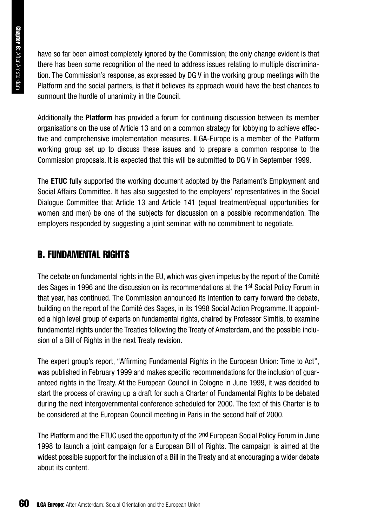have so far been almost completely ignored by the Commission; the only change evident is that there has been some recognition of the need to address issues relating to multiple discrimination. The Commission's response, as expressed by DG V in the working group meetings with the Platform and the social partners, is that it believes its approach would have the best chances to surmount the hurdle of unanimity in the Council.

Additionally the **Platform** has provided a forum for continuing discussion between its member organisations on the use of Article 13 and on a common strategy for lobbying to achieve effective and comprehensive implementation measures. ILGA-Europe is a member of the Platform working group set up to discuss these issues and to prepare a common response to the Commission proposals. It is expected that this will be submitted to DG V in September 1999.

The **ETUC** fully supported the working document adopted by the Parlament's Employment and Social Affairs Committee. It has also suggested to the employers' representatives in the Social Dialogue Committee that Article 13 and Article 141 (equal treatment/equal opportunities for women and men) be one of the subjects for discussion on a possible recommendation. The employers responded by suggesting a joint seminar, with no commitment to negotiate.

### B. FUNDAMENTAL RIGHTS

The debate on fundamental rights in the EU, which was given impetus by the report of the Comité des Sages in 1996 and the discussion on its recommendations at the 1st Social Policy Forum in that year, has continued. The Commission announced its intention to carry forward the debate, building on the report of the Comité des Sages, in its 1998 Social Action Programme. It appointed a high level group of experts on fundamental rights, chaired by Professor Simitis, to examine fundamental rights under the Treaties following the Treaty of Amsterdam, and the possible inclusion of a Bill of Rights in the next Treaty revision.

The expert group's report, "Affirming Fundamental Rights in the European Union: Time to Act", was published in February 1999 and makes specific recommendations for the inclusion of guaranteed rights in the Treaty. At the European Council in Cologne in June 1999, it was decided to start the process of drawing up a draft for such a Charter of Fundamental Rights to be debated during the next intergovernmental conference scheduled for 2000. The text of this Charter is to be considered at the European Council meeting in Paris in the second half of 2000.

The Platform and the ETUC used the opportunity of the 2<sup>nd</sup> European Social Policy Forum in June 1998 to launch a joint campaign for a European Bill of Rights. The campaign is aimed at the widest possible support for the inclusion of a Bill in the Treaty and at encouraging a wider debate about its content.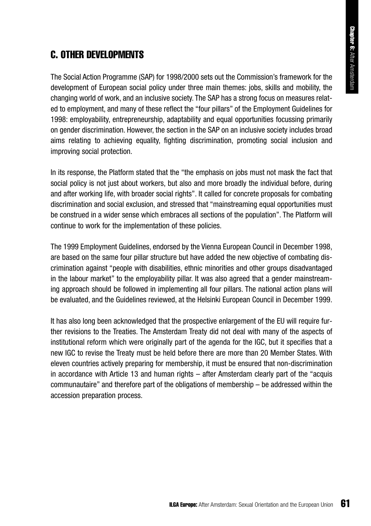### C. OTHER DEVELOPMENTS

The Social Action Programme (SAP) for 1998/2000 sets out the Commission's framework for the development of European social policy under three main themes: jobs, skills and mobility, the changing world of work, and an inclusive society. The SAP has a strong focus on measures related to employment, and many of these reflect the "four pillars" of the Employment Guidelines for 1998: employability, entrepreneurship, adaptability and equal opportunities focussing primarily on gender discrimination. However, the section in the SAP on an inclusive society includes broad aims relating to achieving equality, fighting discrimination, promoting social inclusion and improving social protection.

In its response, the Platform stated that the "the emphasis on jobs must not mask the fact that social policy is not just about workers, but also and more broadly the individual before, during and after working life, with broader social rights". It called for concrete proposals for combating discrimination and social exclusion, and stressed that "mainstreaming equal opportunities must be construed in a wider sense which embraces all sections of the population". The Platform will continue to work for the implementation of these policies.

The 1999 Employment Guidelines, endorsed by the Vienna European Council in December 1998, are based on the same four pillar structure but have added the new objective of combating discrimination against "people with disabilities, ethnic minorities and other groups disadvantaged in the labour market" to the employability pillar. It was also agreed that a gender mainstreaming approach should be followed in implementing all four pillars. The national action plans will be evaluated, and the Guidelines reviewed, at the Helsinki European Council in December 1999.

It has also long been acknowledged that the prospective enlargement of the EU will require further revisions to the Treaties. The Amsterdam Treaty did not deal with many of the aspects of institutional reform which were originally part of the agenda for the IGC, but it specifies that a new IGC to revise the Treaty must be held before there are more than 20 Member States. With eleven countries actively preparing for membership, it must be ensured that non-discrimination in accordance with Article 13 and human rights – after Amsterdam clearly part of the "acquis communautaire" and therefore part of the obligations of membership – be addressed within the accession preparation process.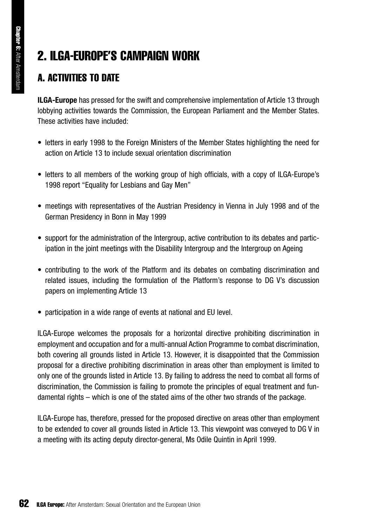## 2. ILGA-EUROPE'S CAMPAIGN WORK

### A. ACTIVITIES TO DATE

**ILGA-Europe** has pressed for the swift and comprehensive implementation of Article 13 through lobbying activities towards the Commission, the European Parliament and the Member States. These activities have included:

- letters in early 1998 to the Foreign Ministers of the Member States highlighting the need for action on Article 13 to include sexual orientation discrimination
- letters to all members of the working group of high officials, with a copy of ILGA-Europe's 1998 report "Equality for Lesbians and Gay Men"
- meetings with representatives of the Austrian Presidency in Vienna in July 1998 and of the German Presidency in Bonn in May 1999
- support for the administration of the Intergroup, active contribution to its debates and participation in the joint meetings with the Disability Intergroup and the Intergroup on Ageing
- contributing to the work of the Platform and its debates on combating discrimination and related issues, including the formulation of the Platform's response to DG V's discussion papers on implementing Article 13
- participation in a wide range of events at national and EU level.

ILGA-Europe welcomes the proposals for a horizontal directive prohibiting discrimination in employment and occupation and for a multi-annual Action Programme to combat discrimination, both covering all grounds listed in Article 13. However, it is disappointed that the Commission proposal for a directive prohibiting discrimination in areas other than employment is limited to only one of the grounds listed in Article 13. By failing to address the need to combat all forms of discrimination, the Commission is failing to promote the principles of equal treatment and fundamental rights – which is one of the stated aims of the other two strands of the package.

ILGA-Europe has, therefore, pressed for the proposed directive on areas other than employment to be extended to cover all grounds listed in Article 13. This viewpoint was conveyed to DG V in a meeting with its acting deputy director-general, Ms Odile Quintin in April 1999.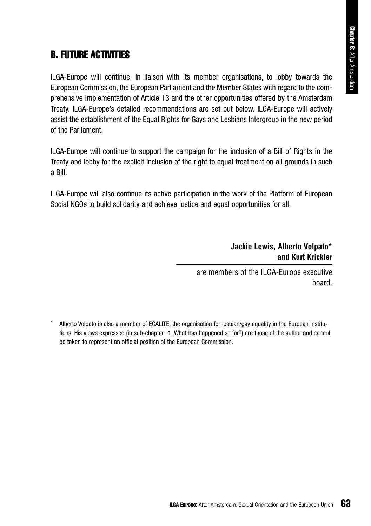### B. FUTURE ACTIVITIES

ILGA-Europe will continue, in liaison with its member organisations, to lobby towards the European Commission, the European Parliament and the Member States with regard to the comprehensive implementation of Article 13 and the other opportunities offered by the Amsterdam Treaty. ILGA-Europe's detailed recommendations are set out below. ILGA-Europe will actively assist the establishment of the Equal Rights for Gays and Lesbians Intergroup in the new period of the Parliament. With its member organisations, to lobby towards the<br>
Ilament and the Member States with regard to the com-<br>
and the other opportunities offered by the Amsterdam<br>
Instantons are set out below. ILGA-Europe will actively<br>
Ins

ILGA-Europe will continue to support the campaign for the inclusion of a Bill of Rights in the Treaty and lobby for the explicit inclusion of the right to equal treatment on all grounds in such a Bill.

ILGA-Europe will also continue its active participation in the work of the Platform of European Social NGOs to build solidarity and achieve justice and equal opportunities for all.

### **Jackie Lewis, Alberto Volpato\* and Kurt Krickler**

are members of the ILGA-Europe executive board.

Alberto Volpato is also a member of ÉGALITÉ, the organisation for lesbian/gay equality in the Eurpean institutions. His views expressed (in sub-chapter "1. What has happened so far") are those of the author and cannot be taken to represent an official position of the European Commission.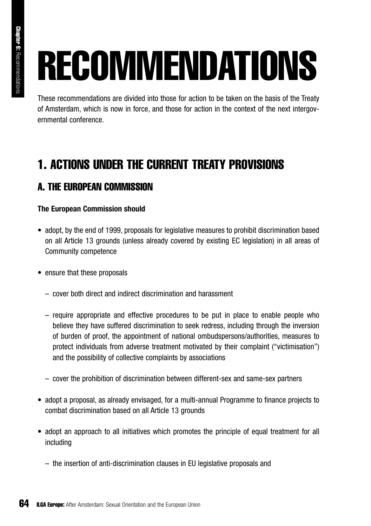# RECOMMENDATIONS

These recommendations are divided into those for action to be taken on the basis of the Treaty of Amsterdam, which is now in force, and those for action in the context of the next intergovernmental conference.

## 1. ACTIONS UNDER THE CURRENT TREATY PROVISIONS

### A. THE EUROPEAN COMMISSION

### **The European Commission should**

- adopt, by the end of 1999, proposals for legislative measures to prohibit discrimination based on all Article 13 grounds (unless already covered by existing EC legislation) in all areas of Community competence
- ensure that these proposals
	- cover both direct and indirect discrimination and harassment
	- require appropriate and effective procedures to be put in place to enable people who believe they have suffered discrimination to seek redress, including through the inversion of burden of proof, the appointment of national ombudspersons/authorities, measures to protect individuals from adverse treatment motivated by their complaint ("victimisation") and the possibility of collective complaints by associations
	- cover the prohibition of discrimination between different-sex and same-sex partners
- adopt a proposal, as already envisaged, for a multi-annual Programme to finance projects to combat discrimination based on all Article 13 grounds
- adopt an approach to all initiatives which promotes the principle of equal treatment for all including
	- the insertion of anti-discrimination clauses in EU legislative proposals and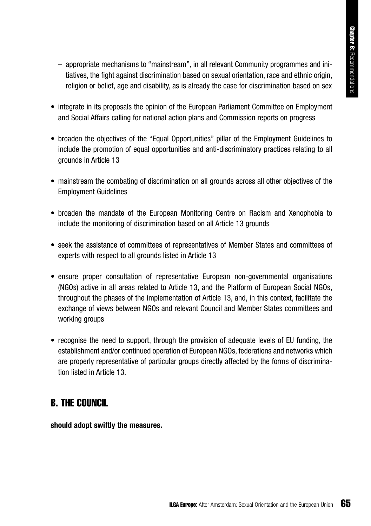- appropriate mechanisms to "mainstream", in all relevant Community programmes and initiatives, the fight against discrimination based on sexual orientation, race and ethnic origin, religion or belief, age and disability, as is already the case for discrimination based on sex
- integrate in its proposals the opinion of the European Parliament Committee on Employment and Social Affairs calling for national action plans and Commission reports on progress
- broaden the objectives of the "Equal Opportunities" pillar of the Employment Guidelines to include the promotion of equal opportunities and anti-discriminatory practices relating to all grounds in Article 13
- mainstream the combating of discrimination on all grounds across all other objectives of the Employment Guidelines
- broaden the mandate of the European Monitoring Centre on Racism and Xenophobia to include the monitoring of discrimination based on all Article 13 grounds
- seek the assistance of committees of representatives of Member States and committees of experts with respect to all grounds listed in Article 13
- ensure proper consultation of representative European non-governmental organisations (NGOs) active in all areas related to Article 13, and the Platform of European Social NGOs, throughout the phases of the implementation of Article 13, and, in this context, facilitate the exchange of views between NGOs and relevant Council and Member States committees and working groups Itream", in all relevant Community programmes and inition based on sexual orientation, race and ethnic origin, as is already the case for discrimination based on sexual orientation based on sexual orientation based on sexu
- recognise the need to support, through the provision of adequate levels of EU funding, the establishment and/or continued operation of European NGOs, federations and networks which are properly representative of particular groups directly affected by the forms of discrimination listed in Article 13.

### B. THE COUNCIL

**should adopt swiftly the measures.**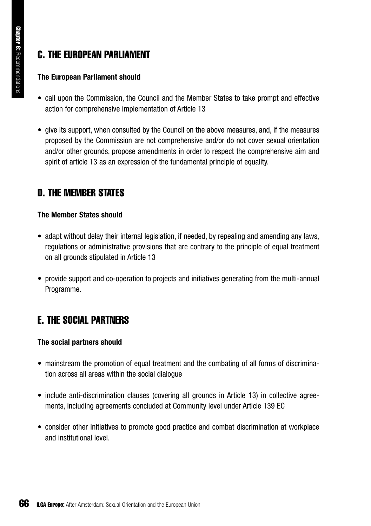### C. THE EUROPEAN PARLIAMENT

### **The European Parliament should**

- call upon the Commission, the Council and the Member States to take prompt and effective action for comprehensive implementation of Article 13
- give its support, when consulted by the Council on the above measures, and, if the measures proposed by the Commission are not comprehensive and/or do not cover sexual orientation and/or other grounds, propose amendments in order to respect the comprehensive aim and spirit of article 13 as an expression of the fundamental principle of equality.

### D. THE MEMBER STATES

### **The Member States should**

- adapt without delay their internal legislation, if needed, by repealing and amending any laws, regulations or administrative provisions that are contrary to the principle of equal treatment on all grounds stipulated in Article 13
- provide support and co-operation to projects and initiatives generating from the multi-annual Programme.

### E. THE SOCIAL PARTNERS

### **The social partners should**

- mainstream the promotion of equal treatment and the combating of all forms of discrimination across all areas within the social dialogue
- include anti-discrimination clauses (covering all grounds in Article 13) in collective agreements, including agreements concluded at Community level under Article 139 EC
- consider other initiatives to promote good practice and combat discrimination at workplace and institutional level.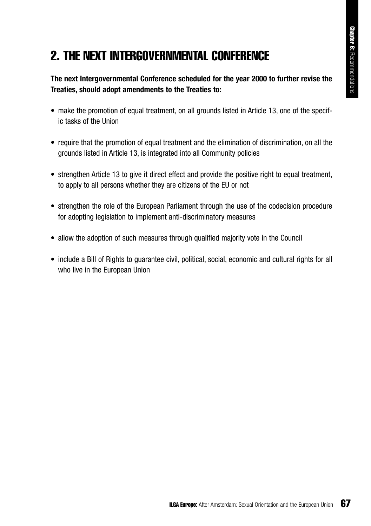## 2. THE NEXT INTERGOVERNMENTAL CONFERENCE

### **The next Intergovernmental Conference scheduled for the year 2000 to further revise the Treaties, should adopt amendments to the Treaties to:**

- make the promotion of equal treatment, on all grounds listed in Article 13, one of the specific tasks of the Union
- require that the promotion of equal treatment and the elimination of discrimination, on all the grounds listed in Article 13, is integrated into all Community policies
- strengthen Article 13 to give it direct effect and provide the positive right to equal treatment. to apply to all persons whether they are citizens of the EU or not
- strengthen the role of the European Parliament through the use of the codecision procedure for adopting legislation to implement anti-discriminatory measures
- allow the adoption of such measures through qualified majority vote in the Council
- include a Bill of Rights to guarantee civil, political, social, economic and cultural rights for all who live in the European Union IMENTAL CONFERENCE<br>
be scheduled for the year 2000 to further revise the<br>
the Treaties to:<br>
th, on all grounds listed in Article 13, one of the specifi-<br>
ratment and the elimination of discrimination, on all the<br>
eled into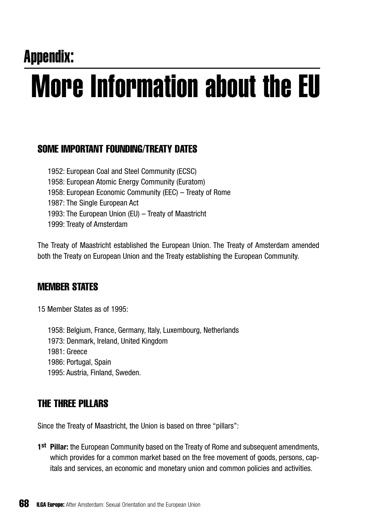## Appendix: More Information about the EU

### SOME IMPORTANT FOUNDING/TREATY DATES

1952: European Coal and Steel Community (ECSC) 1958: European Atomic Energy Community (Euratom) 1958: European Economic Community (EEC) – Treaty of Rome 1987: The Single European Act 1993: The European Union (EU) – Treaty of Maastricht 1999: Treaty of Amsterdam

The Treaty of Maastricht established the European Union. The Treaty of Amsterdam amended both the Treaty on European Union and the Treaty establishing the European Community.

### MEMBER STATES

15 Member States as of 1995:

1958: Belgium, France, Germany, Italy, Luxembourg, Netherlands 1973: Denmark, Ireland, United Kingdom 1981: Greece 1986: Portugal, Spain 1995: Austria, Finland, Sweden.

### THE THREE PILLARS

Since the Treaty of Maastricht, the Union is based on three "pillars":

**1st Pillar:** the European Community based on the Treaty of Rome and subsequent amendments, which provides for a common market based on the free movement of goods, persons, capitals and services, an economic and monetary union and common policies and activities.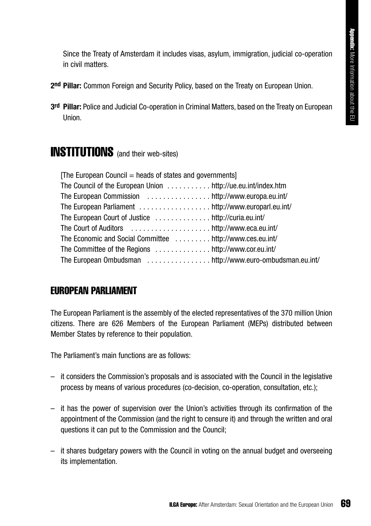Since the Treaty of Amsterdam it includes visas, asylum, immigration, judicial co-operation in civil matters.

- **2nd Pillar:** Common Foreign and Security Policy, based on the Treaty on European Union.
- **3rd Pillar:** Police and Judicial Co-operation in Criminal Matters, based on the Treaty on European Union.

### INSTITUTIONS (and their web-sites)

| [The European Council = heads of states and governments]      |  |
|---------------------------------------------------------------|--|
| The Council of the European Union  http://ue.eu.int/index.htm |  |
|                                                               |  |
| The European Parliament http://www.europarl.eu.int/           |  |
|                                                               |  |
|                                                               |  |
| The Economic and Social Committee  http://www.ces.eu.int/     |  |
|                                                               |  |
| The European Ombudsman http://www.euro-ombudsman.eu.int/      |  |

### EUROPEAN PARLIAMENT

The European Parliament is the assembly of the elected representatives of the 370 million Union citizens. There are 626 Members of the European Parliament (MEPs) distributed between Member States by reference to their population.

The Parliament's main functions are as follows:

- it considers the Commission's proposals and is associated with the Council in the legislative process by means of various procedures (co-decision, co-operation, consultation, etc.);
- it has the power of supervision over the Union's activities through its confirmation of the appointment of the Commission (and the right to censure it) and through the written and oral questions it can put to the Commission and the Council;
- it shares budgetary powers with the Council in voting on the annual budget and overseeing its implementation.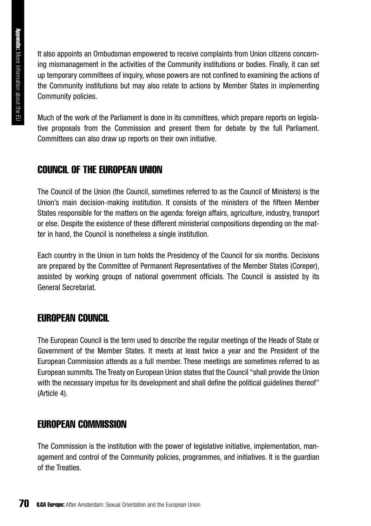Appendix: More Information about the EU More Information about the EU

It also appoints an Ombudsman empowered to receive complaints from Union citizens concerning mismanagement in the activities of the Community institutions or bodies. Finally, it can set up temporary committees of inquiry, whose powers are not confined to examining the actions of the Community institutions but may also relate to actions by Member States in implementing Community policies.

Much of the work of the Parliament is done in its committees, which prepare reports on legislative proposals from the Commission and present them for debate by the full Parliament. Committees can also draw up reports on their own initiative.

### COUNCIL OF THE EUROPEAN UNION

The Council of the Union (the Council, sometimes referred to as the Council of Ministers) is the Union's main decision-making institution. It consists of the ministers of the fifteen Member States responsible for the matters on the agenda: foreign affairs, agriculture, industry, transport or else. Despite the existence of these different ministerial compositions depending on the matter in hand, the Council is nonetheless a single institution.

Each country in the Union in turn holds the Presidency of the Council for six months. Decisions are prepared by the Committee of Permanent Representatives of the Member States (Coreper), assisted by working groups of national government officials. The Council is assisted by its General Secretariat.

### EUROPEAN COUNCIL

The European Council is the term used to describe the regular meetings of the Heads of State or Government of the Member States. It meets at least twice a year and the President of the European Commission attends as a full member. These meetings are sometimes referred to as European summits. The Treaty on European Union states that the Council "shall provide the Union with the necessary impetus for its development and shall define the political quidelines thereof" (Article 4).

### EUROPEAN COMMISSION

The Commission is the institution with the power of legislative initiative, implementation, management and control of the Community policies, programmes, and initiatives. It is the guardian of the Treaties.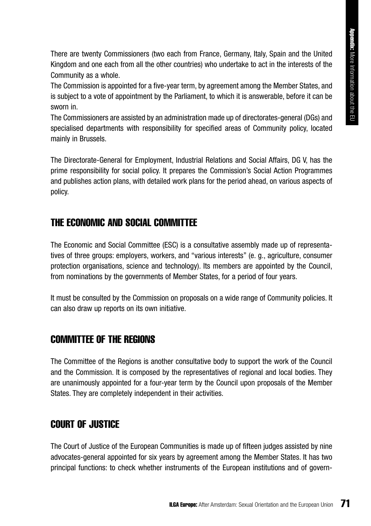There are twenty Commissioners (two each from France, Germany, Italy, Spain and the United Kingdom and one each from all the other countries) who undertake to act in the interests of the Community as a whole.

The Commission is appointed for a five-year term, by agreement among the Member States, and is subject to a vote of appointment by the Parliament, to which it is answerable, before it can be sworn in.

The Commissioners are assisted by an administration made up of directorates-general (DGs) and specialised departments with responsibility for specified areas of Community policy, located mainly in Brussels.

The Directorate-General for Employment, Industrial Relations and Social Affairs, DG V, has the prime responsibility for social policy. It prepares the Commission's Social Action Programmes and publishes action plans, with detailed work plans for the period ahead, on various aspects of policy.

### THE ECONOMIC AND SOCIAL COMMITTEE

The Economic and Social Committee (ESC) is a consultative assembly made up of representatives of three groups: employers, workers, and "various interests" (e. g., agriculture, consumer protection organisations, science and technology). Its members are appointed by the Council, from nominations by the governments of Member States, for a period of four years.

It must be consulted by the Commission on proposals on a wide range of Community policies. It can also draw up reports on its own initiative.

### COMMITTEE OF THE REGIONS

The Committee of the Regions is another consultative body to support the work of the Council and the Commission. It is composed by the representatives of regional and local bodies. They are unanimously appointed for a four-year term by the Council upon proposals of the Member States. They are completely independent in their activities.

### COURT OF JUSTICE

The Court of Justice of the European Communities is made up of fifteen judges assisted by nine advocates-general appointed for six years by agreement among the Member States. It has two principal functions: to check whether instruments of the European institutions and of govern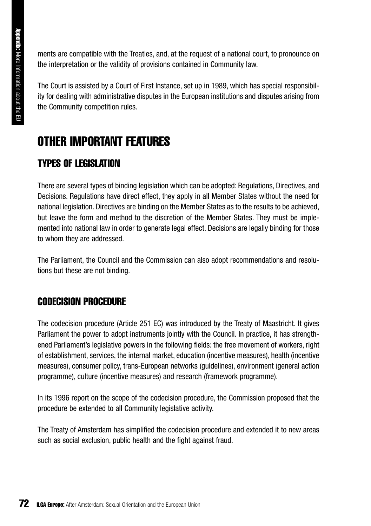ments are compatible with the Treaties, and, at the request of a national court, to pronounce on the interpretation or the validity of provisions contained in Community law.

The Court is assisted by a Court of First Instance, set up in 1989, which has special responsibility for dealing with administrative disputes in the European institutions and disputes arising from the Community competition rules.

## OTHER IMPORTANT FEATURES

### TYPES OF LEGISLATION

There are several types of binding legislation which can be adopted: Regulations, Directives, and Decisions. Regulations have direct effect, they apply in all Member States without the need for national legislation. Directives are binding on the Member States as to the results to be achieved, but leave the form and method to the discretion of the Member States. They must be implemented into national law in order to generate legal effect. Decisions are legally binding for those to whom they are addressed.

The Parliament, the Council and the Commission can also adopt recommendations and resolutions but these are not binding.

### CODECISION PROCEDURE

The codecision procedure (Article 251 EC) was introduced by the Treaty of Maastricht. It gives Parliament the power to adopt instruments jointly with the Council. In practice, it has strengthened Parliament's legislative powers in the following fields: the free movement of workers, right of establishment, services, the internal market, education (incentive measures), health (incentive measures), consumer policy, trans-European networks (guidelines), environment (general action programme), culture (incentive measures) and research (framework programme).

In its 1996 report on the scope of the codecision procedure, the Commission proposed that the procedure be extended to all Community legislative activity.

The Treaty of Amsterdam has simplified the codecision procedure and extended it to new areas such as social exclusion, public health and the fight against fraud.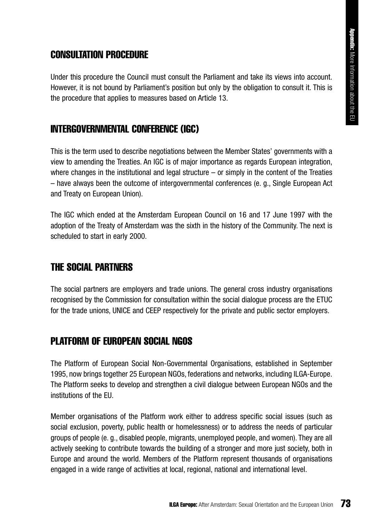### CONSULTATION PROCEDURE

Under this procedure the Council must consult the Parliament and take its views into account. However, it is not bound by Parliament's position but only by the obligation to consult it. This is the procedure that applies to measures based on Article 13.

### INTERGOVERNMENTAL CONFERENCE (IGC)

This is the term used to describe negotiations between the Member States' governments with a view to amending the Treaties. An IGC is of major importance as regards European integration, where changes in the institutional and legal structure  $-$  or simply in the content of the Treaties – have always been the outcome of intergovernmental conferences (e. g., Single European Act and Treaty on European Union).

The IGC which ended at the Amsterdam European Council on 16 and 17 June 1997 with the adoption of the Treaty of Amsterdam was the sixth in the history of the Community. The next is scheduled to start in early 2000.

### THE SOCIAL PARTNERS

The social partners are employers and trade unions. The general cross industry organisations recognised by the Commission for consultation within the social dialogue process are the ETUC for the trade unions, UNICE and CEEP respectively for the private and public sector employers.

### PLATFORM OF EUROPEAN SOCIAL NGOS

The Platform of European Social Non-Governmental Organisations, established in September 1995, now brings together 25 European NGOs, federations and networks, including ILGA-Europe. The Platform seeks to develop and strengthen a civil dialogue between European NGOs and the institutions of the EU.

Member organisations of the Platform work either to address specific social issues (such as social exclusion, poverty, public health or homelessness) or to address the needs of particular groups of people (e. g., disabled people, migrants, unemployed people, and women). They are all actively seeking to contribute towards the building of a stronger and more just society, both in Europe and around the world. Members of the Platform represent thousands of organisations engaged in a wide range of activities at local, regional, national and international level.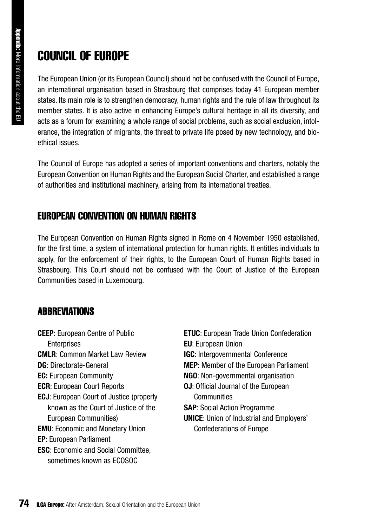## COUNCIL OF EUROPE

The European Union (or its European Council) should not be confused with the Council of Europe, an international organisation based in Strasbourg that comprises today 41 European member states. Its main role is to strengthen democracy, human rights and the rule of law throughout its member states. It is also active in enhancing Europe's cultural heritage in all its diversity, and acts as a forum for examining a whole range of social problems, such as social exclusion, intolerance, the integration of migrants, the threat to private life posed by new technology, and bioethical issues.

The Council of Europe has adopted a series of important conventions and charters, notably the European Convention on Human Rights and the European Social Charter, and established a range of authorities and institutional machinery, arising from its international treaties.

### EUROPEAN CONVENTION ON HUMAN RIGHTS

The European Convention on Human Rights signed in Rome on 4 November 1950 established, for the first time, a system of international protection for human rights. It entitles individuals to apply, for the enforcement of their rights, to the European Court of Human Rights based in Strasbourg. This Court should not be confused with the Court of Justice of the European Communities based in Luxembourg.

### **ABBREVIATIONS**

**CEEP**: European Centre of Public **Enterprises CMLR**: Common Market Law Review **DG**: Directorate-General **EC:** European Community **ECR**: European Court Reports **ECJ**: European Court of Justice (properly known as the Court of Justice of the European Communities) **EMU**: Economic and Monetary Union **EP**: European Parliament **ESC**: Economic and Social Committee, sometimes known as ECOSOC

**ETUC**: European Trade Union Confederation **EU**: European Union **IGC**: Intergovernmental Conference **MEP**: Member of the European Parliament **NGO**: Non-governmental organisation **OJ**: Official Journal of the European **Communities SAP**: Social Action Programme **UNICE**: Union of Industrial and Employers' Confederations of Europe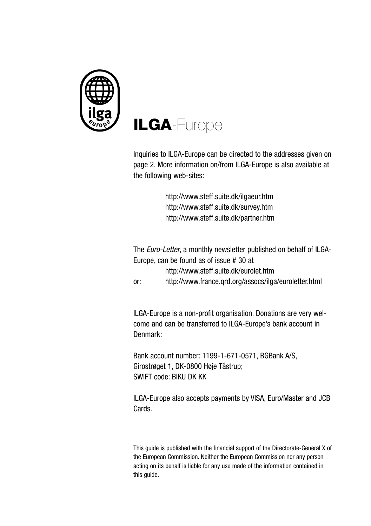

# **ILGA**-Europe

Inquiries to ILGA-Europe can be directed to the addresses given on page 2. More information on/from ILGA-Europe is also available at the following web-sites:

> http://www.steff.suite.dk/ilgaeur.htm http://www.steff.suite.dk/survey.htm http://www.steff.suite.dk/partner.htm

The *Euro-Letter*, a monthly newsletter published on behalf of ILGA-Europe, can be found as of issue # 30 at http://www.steff.suite.dk/eurolet.htm or: http://www.france.qrd.org/assocs/ilga/euroletter.html

ILGA-Europe is a non-profit organisation. Donations are very welcome and can be transferred to ILGA-Europe's bank account in Denmark:

Bank account number: 1199-1-671-0571, BGBank A/S, Girostrøget 1, DK-0800 Høje Tåstrup; SWIFT code: BIKU DK KK

ILGA-Europe also accepts payments by VISA, Euro/Master and JCB Cards.

This guide is published with the financial support of the Directorate-General X of the European Commission. Neither the European Commission nor any person acting on its behalf is liable for any use made of the information contained in this guide.